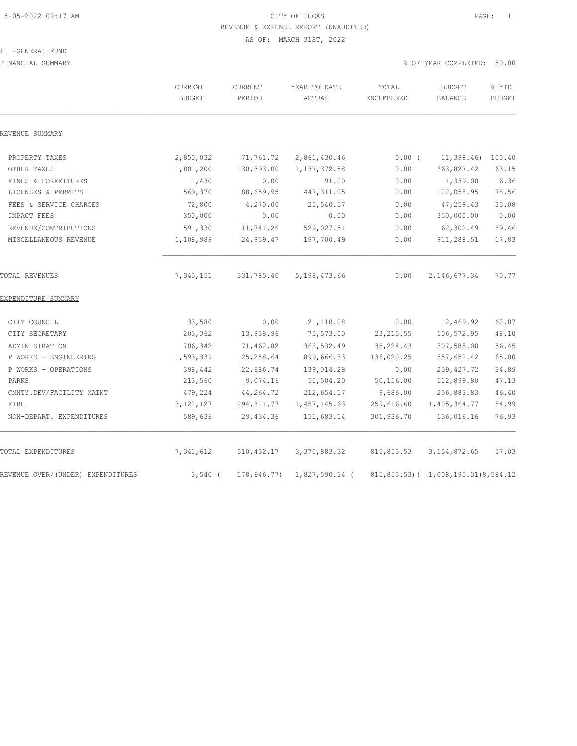### 5-05-2022 09:17 AM CITY OF LUCAS PAGE: 1 REVENUE & EXPENSE REPORT (UNAUDITED) AS OF: MARCH 31ST, 2022

#### 11 -GENERAL FUND

FINANCIAL SUMMARY % OF YEAR COMPLETED: 50.00

|                                   | CURRENT<br><b>BUDGET</b> | CURRENT<br>PERIOD | YEAR TO DATE<br>ACTUAL | TOTAL<br>ENCUMBERED | <b>BUDGET</b><br>BALANCE                 | % YTD<br><b>BUDGET</b> |
|-----------------------------------|--------------------------|-------------------|------------------------|---------------------|------------------------------------------|------------------------|
| REVENUE SUMMARY                   |                          |                   |                        |                     |                                          |                        |
| PROPERTY TAXES                    | 2,850,032                | 71,761.72         | 2,861,430.46           | $0.00$ (            | 11,398.46                                | 100.40                 |
| OTHER TAXES                       | 1,801,200                | 130,393.00        | 1, 137, 372.58         | 0.00                | 663,827.42                               | 63.15                  |
| FINES & FORFEITURES               | 1,430                    | 0.00              | 91.00                  | 0.00                | 1,339.00                                 | 6.36                   |
| LICENSES & PERMITS                | 569,370                  | 88,659.95         | 447, 311.05            | 0.00                | 122,058.95                               | 78.56                  |
| FEES & SERVICE CHARGES            | 72,800                   | 4,270.00          | 25,540.57              | 0.00                | 47,259.43                                | 35.08                  |
| IMPACT FEES                       | 350,000                  | 0.00              | 0.00                   | 0.00                | 350,000.00                               | 0.00                   |
| REVENUE/CONTRIBUTIONS             | 591,330                  | 11,741.26         | 529,027.51             | 0.00                | 62,302.49                                | 89.46                  |
| MISCELLANEOUS REVENUE             | 1,108,989                | 24,959.47         | 197,700.49             | 0.00                | 911,288.51                               | 17.83                  |
| TOTAL REVENUES                    | 7,345,151                | 331,785.40        | 5, 198, 473.66         | 0.00                | 2, 146, 677.34                           | 70.77                  |
| EXPENDITURE SUMMARY               |                          |                   |                        |                     |                                          |                        |
| CITY COUNCIL                      | 33,580                   | 0.00              | 21,110.08              | 0.00                | 12,469.92                                | 62.87                  |
| CITY SECRETARY                    | 205,362                  | 13,938.96         | 75,573.00              | 23, 215.55          | 106,572.95                               | 48.10                  |
| ADMINISTRATION                    | 706,342                  | 71,462.82         | 363,532.49             | 35, 224.43          | 307,585.08                               | 56.45                  |
| P WORKS - ENGINEERING             | 1,593,339                | 25, 258.64        | 899,666.33             | 136,020.25          | 557,652.42                               | 65.00                  |
| P WORKS - OPERATIONS              | 398,442                  | 22,686.74         | 139,014.28             | 0.00                | 259, 427.72                              | 34.89                  |
| PARKS                             | 213,560                  | 9,074.16          | 50, 504.20             | 50, 156.00          | 112,899.80                               | 47.13                  |
| CMNTY.DEV/FACILITY MAINT          | 479,224                  | 44,264.72         | 212,654.17             | 9,686.00            | 256,883.83                               | 46.40                  |
| FIRE                              | 3, 122, 127              | 294, 311.77       | 1, 457, 145.63         | 259,616.60          | 1,405,364.77                             | 54.99                  |
| NON-DEPART. EXPENDITURES          | 589,636                  | 29, 434.36        | 151,683.14             | 301,936.70          | 136,016.16                               | 76.93                  |
| TOTAL EXPENDITURES                | 7,341,612                | 510, 432.17       | 3,370,883.32           | 815,855.53          | 3, 154, 872.65                           | 57.03                  |
| REVENUE OVER/(UNDER) EXPENDITURES | $3,540$ (                | 178,646.77)       | 1,827,590.34 (         |                     | 815, 855.53) ( 1, 008, 195.31) 8, 584.12 |                        |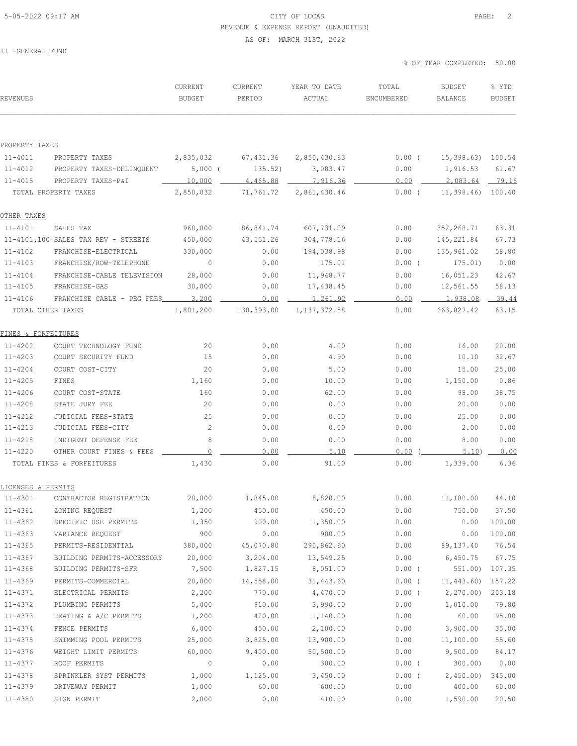# 5-05-2022 09:17 AM CITY OF LUCAS PAGE: 2 REVENUE & EXPENSE REPORT (UNAUDITED)

AS OF: MARCH 31ST, 2022

11 -GENERAL FUND

| <b>REVENUES</b>     |                                       | CURRENT<br><b>BUDGET</b> | CURRENT<br>PERIOD | YEAR TO DATE<br>ACTUAL | TOTAL<br>ENCUMBERED | <b>BUDGET</b><br>BALANCE | % YTD<br><b>BUDGET</b> |
|---------------------|---------------------------------------|--------------------------|-------------------|------------------------|---------------------|--------------------------|------------------------|
|                     |                                       |                          |                   |                        |                     |                          |                        |
| PROPERTY TAXES      |                                       |                          |                   |                        |                     |                          |                        |
| $11 - 4011$         | PROPERTY TAXES                        | 2,835,032                | 67,431.36         | 2,850,430.63           | $0.00$ (            | 15,398.63) 100.54        |                        |
| $11 - 4012$         | PROPERTY TAXES-DELINQUENT             | $5,000$ (                | 135.52)           | 3,083.47               | 0.00                | 1,916.53                 | 61.67                  |
| $11 - 4015$         | PROPERTY TAXES-P&I                    | 10,000                   | 4,465.88          | 7,916.36               | 0.00                | 2,083.64 79.16           |                        |
|                     | TOTAL PROPERTY TAXES                  | 2,850,032                | 71,761.72         | 2,861,430.46           | $0.00$ (            | 11,398.46) 100.40        |                        |
| OTHER TAXES         |                                       |                          |                   |                        |                     |                          |                        |
| $11 - 4101$         | SALES TAX                             | 960,000                  | 86,841.74         | 607,731.29             | 0.00                | 352,268.71               | 63.31                  |
|                     | $11-4101.100$ SALES TAX REV - STREETS | 450,000                  | 43,551.26         | 304,778.16             | 0.00                | 145,221.84               | 67.73                  |
| $11 - 4102$         | FRANCHISE-ELECTRICAL                  | 330,000                  | 0.00              | 194,038.98             | 0.00                | 135,961.02               | 58.80                  |
| $11 - 4103$         | FRANCHISE/ROW-TELEPHONE               | $\mathbf{0}$             | 0.00              | 175.01                 | $0.00$ (            | 175.01)                  | 0.00                   |
| $11 - 4104$         | FRANCHISE-CABLE TELEVISION            | 28,000                   | 0.00              | 11,948.77              | 0.00                | 16,051.23                | 42.67                  |
| $11 - 4105$         | FRANCHISE-GAS                         | 30,000                   | 0.00              | 17,438.45              | 0.00                | 12,561.55                | 58.13                  |
| $11 - 4106$         | FRANCHISE CABLE - PEG FEES 3,200      |                          | 0.00              | 1,261.92               | 0.00                | 1,938.08                 | 39.44                  |
|                     | TOTAL OTHER TAXES                     | 1,801,200                | 130,393.00        | 1, 137, 372.58         | 0.00                | 663,827.42               | 63.15                  |
| FINES & FORFEITURES |                                       |                          |                   |                        |                     |                          |                        |
| 11-4202             | COURT TECHNOLOGY FUND                 | 20                       | 0.00              | 4.00                   | 0.00                | 16.00                    | 20.00                  |
| $11 - 4203$         | COURT SECURITY FUND                   | 15                       | 0.00              | 4.90                   | 0.00                | 10.10                    | 32.67                  |
| $11 - 4204$         | COURT COST-CITY                       | 20                       | 0.00              | 5.00                   | 0.00                | 15.00                    | 25.00                  |
| $11 - 4205$         | FINES                                 | 1,160                    | 0.00              | 10.00                  | 0.00                | 1,150.00                 | 0.86                   |
| $11 - 4206$         | COURT COST-STATE                      | 160                      | 0.00              | 62.00                  | 0.00                | 98.00                    | 38.75                  |
| $11 - 4208$         | STATE JURY FEE                        | 20                       | 0.00              | 0.00                   | 0.00                | 20.00                    | 0.00                   |
| $11 - 4212$         | JUDICIAL FEES-STATE                   | 25                       | 0.00              | 0.00                   | 0.00                | 25.00                    | 0.00                   |
| $11 - 4213$         | JUDICIAL FEES-CITY                    | 2                        | 0.00              | 0.00                   | 0.00                | 2.00                     | 0.00                   |
| $11 - 4218$         | INDIGENT DEFENSE FEE                  | 8                        | 0.00              | 0.00                   | 0.00                | 8.00                     | 0.00                   |
| 11-4220             | OTHER COURT FINES & FEES              | $\mathbf 0$              | 0.00              | 5.10                   | 0.00                | 5.10                     | 0.00                   |
|                     | TOTAL FINES & FORFEITURES             | 1,430                    | 0.00              | 91.00                  | 0.00                | 1,339.00                 | 6.36                   |
| LICENSES & PERMITS  |                                       |                          |                   |                        |                     |                          |                        |
| 11-4301             | CONTRACTOR REGISTRATION               | 20,000                   | 1,845.00          | 8,820.00               | 0.00                | 11,180.00 44.10          |                        |
| $11 - 4361$         | ZONING REQUEST                        | 1,200                    | 450.00            | 450.00                 | 0.00                | 750.00                   | 37.50                  |
| 11-4362             | SPECIFIC USE PERMITS                  | 1,350                    | 900.00            | 1,350.00               | 0.00                | 0.00                     | 100.00                 |
| $11 - 4363$         | VARIANCE REQUEST                      | 900                      | 0.00              | 900.00                 | 0.00                | 0.00                     | 100.00                 |
| $11 - 4365$         | PERMITS-RESIDENTIAL                   | 380,000                  | 45,070.80         | 290,862.60             | 0.00                | 89,137.40                | 76.54                  |
| $11 - 4367$         | BUILDING PERMITS-ACCESSORY 20,000     |                          | 3,204.00          | 13,549.25              | 0.00                | 6,450.75                 | 67.75                  |
| $11 - 4368$         | BUILDING PERMITS-SFR                  | 7,500                    | 1,827.15          | 8,051.00               | $0.00$ (            | 551.00) 107.35           |                        |
| 11-4369             | PERMITS-COMMERCIAL                    | 20,000                   | 14,558.00         | 31,443.60              | $0.00$ (            | 11,443.60                | 157.22                 |
| 11-4371             | ELECTRICAL PERMITS                    | 2,200                    | 770.00            | 4,470.00               |                     | $0.00$ ( $2,270.00$ )    | 203.18                 |
| 11-4372             | PLUMBING PERMITS                      | 5,000                    | 910.00            | 3,990.00               | 0.00                | 1,010.00                 | 79.80                  |
| 11-4373             | HEATING & A/C PERMITS                 | 1,200                    | 420.00            | 1,140.00               | 0.00                | 60.00                    | 95.00                  |
| $11 - 4374$         | FENCE PERMITS                         | 6,000                    | 450.00            | 2,100.00               | 0.00                | 3,900.00                 | 35.00                  |
| 11-4375             | SWIMMING POOL PERMITS                 | 25,000                   | 3,825.00          | 13,900.00              | 0.00                | 11,100.00                | 55.60                  |
| 11-4376             | WEIGHT LIMIT PERMITS                  | 60,000                   | 9,400.00          | 50, 500.00             | 0.00                | 9,500.00                 | 84.17                  |
| 11-4377             | ROOF PERMITS                          | $\overline{0}$           | 0.00              | 300.00                 | $0.00$ (            | 300.00)                  | 0.00                   |
| 11-4378             | SPRINKLER SYST PERMITS                | 1,000                    | 1,125.00          | 3,450.00               | $0.00$ (            | 2,450.00                 | 345.00                 |
| 11-4379             | DRIVEWAY PERMIT                       | 1,000                    | 60.00             | 600.00                 | 0.00                | 400.00                   | 60.00                  |
| 11-4380             | SIGN PERMIT                           | 2,000                    | 0.00              | 410.00                 | 0.00                | 1,590.00                 | 20.50                  |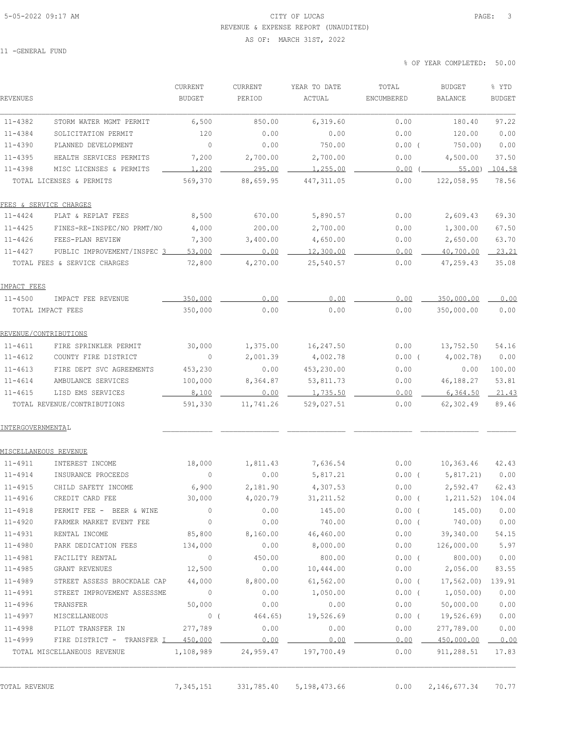## 5-05-2022 09:17 AM CITY OF LUCAS PAGE: 3 REVENUE & EXPENSE REPORT (UNAUDITED)

AS OF: MARCH 31ST, 2022

11 -GENERAL FUND

% OF YEAR COMPLETED: 50.00

|                              |                                    | CURRENT                                | CURRENT             | YEAR TO DATE | TOTAL      | <b>BUDGET</b>          | % YTD         |
|------------------------------|------------------------------------|----------------------------------------|---------------------|--------------|------------|------------------------|---------------|
| REVENUES                     |                                    | <b>BUDGET</b>                          | PERIOD              | ACTUAL       | ENCUMBERED | <b>BALANCE</b>         | <b>BUDGET</b> |
| $11 - 4382$                  | STORM WATER MGMT PERMIT            | 6,500                                  | 850.00              | 6,319.60     | 0.00       | 180.40                 | 97.22         |
| 11-4384                      | SOLICITATION PERMIT                | 120                                    | 0.00                | 0.00         | 0.00       | 120.00                 | 0.00          |
| $11 - 4390$                  | PLANNED DEVELOPMENT                | $\circ$                                | 0.00                | 750.00       | $0.00$ (   | 750.00                 | 0.00          |
| $11 - 4395$                  | HEALTH SERVICES PERMITS            | 7,200                                  | 2,700.00            | 2,700.00     | 0.00       | 4,500.00               | 37.50         |
| $11 - 4398$                  | MISC LICENSES & PERMITS            | 1,200                                  | 295.00              | 1,255.00     | 0.00       | 55.00                  | 104.58        |
|                              | TOTAL LICENSES & PERMITS           | 569,370                                | 88,659.95           | 447, 311.05  | 0.00       | 122,058.95             | 78.56         |
|                              | FEES & SERVICE CHARGES             |                                        |                     |              |            |                        |               |
| 11-4424                      | PLAT & REPLAT FEES                 | 8,500                                  | 670.00              | 5,890.57     | 0.00       | 2,609.43               | 69.30         |
| $11 - 4425$                  | FINES-RE-INSPEC/NO PRMT/NO         | 4,000                                  | 200.00              | 2,700.00     | 0.00       | 1,300.00               | 67.50         |
| 11-4426                      | FEES-PLAN REVIEW                   | 7,300                                  | 3,400.00            | 4,650.00     | 0.00       | 2,650.00               | 63.70         |
| $11 - 4427$                  | PUBLIC IMPROVEMENT/INSPEC 3        | 53,000                                 | 0.00                | 12,300.00    | 0.00       | 40,700.00              | 23.21         |
|                              | TOTAL FEES & SERVICE CHARGES       | 72,800                                 | 4,270.00            | 25,540.57    | 0.00       | 47,259.43              | 35.08         |
| IMPACT FEES                  |                                    |                                        |                     |              |            |                        |               |
| 11-4500                      | IMPACT FEE REVENUE                 | 350,000                                | 0.00                | 0.00         | 0.00       | 350,000.00             | 0.00          |
|                              | TOTAL IMPACT FEES                  | 350,000                                | 0.00                | 0.00         | 0.00       | 350,000.00             | 0.00          |
| REVENUE/CONTRIBUTIONS        |                                    |                                        |                     |              |            |                        |               |
| $11 - 4611$                  | FIRE SPRINKLER PERMIT              | 30,000                                 | 1,375.00            | 16,247.50    | 0.00       | 13,752.50              | 54.16         |
| $11 - 4612$                  | COUNTY FIRE DISTRICT               | $\circ$                                | 2,001.39            | 4,002.78     | 0.00(      | 4,002.78)              | 0.00          |
| $11 - 4613$                  | FIRE DEPT SVC AGREEMENTS           | 453,230                                | 0.00                | 453,230.00   | 0.00       | 0.00                   | 100.00        |
| $11 - 4614$                  | AMBULANCE SERVICES                 | 100,000                                | 8,364.87            | 53,811.73    | 0.00       | 46,188.27              | 53.81         |
| $11 - 4615$                  | LISD EMS SERVICES                  | 8,100                                  | 0.00                | 1,735.50     | 0.00       | 6,364.50               | 21.43         |
|                              | TOTAL REVENUE/CONTRIBUTIONS        | 591,330                                | 11,741.26           | 529,027.51   | 0.00       | 62,302.49              | 89.46         |
| INTERGOVERNMENTAL            |                                    |                                        |                     |              |            |                        |               |
| <u>MISCELLANEOUS REVENUE</u> |                                    |                                        |                     |              |            |                        |               |
| 11-4911                      | INTEREST INCOME                    | 18,000                                 | 1,811.43            | 7,636.54     | 0.00       | 10, 363.46             | 42.43         |
| $11 - 4914$                  | INSURANCE PROCEEDS                 | 0                                      | 0.00                | 5,817.21     | $0.00$ (   | 5,817.21)              | 0.00          |
| 11-4915                      | CHILD SAFETY INCOME                | 6,900                                  | 2,181.90            | 4,307.53     | 0.00       | 2,592.47               | 62.43         |
| 11-4916                      | CREDIT CARD FEE                    | 30,000                                 | 4,020.79            | 31, 211.52   | $0.00$ (   | 1,211.52) 104.04       |               |
| $11 - 4918$                  | PERMIT FEE - BEER & WINE           | 0                                      | 0.00                | 145.00       | $0.00$ (   | 145.00)                | 0.00          |
| $11 - 4920$                  | FARMER MARKET EVENT FEE            | $\circ$                                | 0.00                | 740.00       | $0.00$ (   | 740.00)                | 0.00          |
| $11 - 4931$                  | RENTAL INCOME                      | 85,800                                 | 8,160.00            | 46,460.00    |            | $0.00$ 39,340.00       | 54.15         |
| $11 - 4980$                  | PARK DEDICATION FEES 134,000       |                                        | 0.00                | 8,000.00     |            | 0.00 126,000.00        | 5.97          |
| 11-4981                      | FACILITY RENTAL                    | $\circ$                                | 450.00              | 800.00       | $0.00$ (   | 800.00)                | 0.00          |
| $11 - 4985$                  | GRANT REVENUES<br>12,500           |                                        | 0.00                | 10,444.00    |            | $0.00$ 2,056.00        | 83.55         |
| 11-4989                      | STREET ASSESS BROCKDALE CAP 44,000 |                                        | 8,800.00            | 61,562.00    |            | $0.00$ ( $17,562.00$ ) | 139.91        |
| $11 - 4991$                  | STREET IMPROVEMENT ASSESSME        | $\overline{0}$                         | 0.00                | 1,050.00     |            | $0.00$ ( $1,050.00$ )  | 0.00          |
| $11 - 4996$                  | TRANSFER                           | 50,000                                 | 0.00                | 0.00         | 0.00       | 50,000.00              | 0.00          |
| $11 - 4997$                  | MISCELLANEOUS                      | $\begin{array}{cc} & 0 \\ \end{array}$ | 464.65)             | 19,526.69    |            | $0.00$ ( $19,526.69$ ) | 0.00          |
| 11-4998                      | PILOT TRANSFER IN                  | 277,789                                | 0.00                | 0.00         | 0.00       | 277,789.00             | 0.00          |
| 11-4999                      | FIRE DISTRICT - TRANSFER I 450,000 |                                        | 0.00                | 0.00         | 0.00       | 450,000.00             | 0.00          |
|                              | TOTAL MISCELLANEOUS REVENUE        |                                        | 1,108,989 24,959.47 | 197,700.49   | 0.00       | 911,288.51             | 17.83         |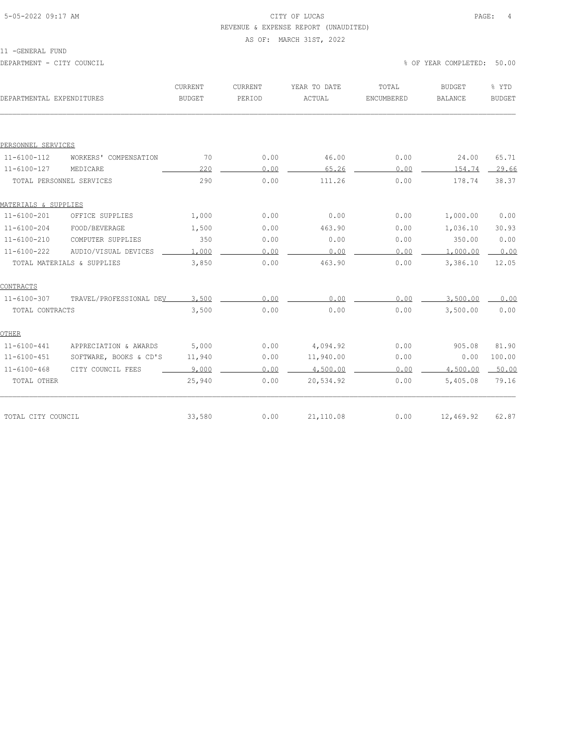### 5-05-2022 09:17 AM CITY OF LUCAS PAGE: 4 REVENUE & EXPENSE REPORT (UNAUDITED)

#### AS OF: MARCH 31ST, 2022

| ۱۱۰ ه. ۱<br>ENE F<br>ı<br>5. A I<br>$\sim$ |  |
|--------------------------------------------|--|
|--------------------------------------------|--|

| DEPARTMENTAL EXPENDITURES |                            | CURRENT<br><b>BUDGET</b> | CURRENT<br>PERIOD | YEAR TO DATE<br>ACTUAL | TOTAL<br>ENCUMBERED | <b>BUDGET</b><br><b>BALANCE</b> | % YTD<br><b>BUDGET</b> |
|---------------------------|----------------------------|--------------------------|-------------------|------------------------|---------------------|---------------------------------|------------------------|
|                           |                            |                          |                   |                        |                     |                                 |                        |
| PERSONNEL SERVICES        |                            |                          |                   |                        |                     |                                 |                        |
| $11 - 6100 - 112$         | WORKERS' COMPENSATION      | 70                       | 0.00              | 46.00                  | 0.00                | 24.00                           | 65.71                  |
| $11 - 6100 - 127$         | MEDICARE                   | 220                      | 0.00              | 65.26                  | 0.00                | 154.74                          | 29.66                  |
|                           | TOTAL PERSONNEL SERVICES   | 290                      | 0.00              | 111.26                 | 0.00                | 178.74                          | 38.37                  |
| MATERIALS & SUPPLIES      |                            |                          |                   |                        |                     |                                 |                        |
| $11 - 6100 - 201$         | OFFICE SUPPLIES            | 1,000                    | 0.00              | 0.00                   | 0.00                | 1,000.00                        | 0.00                   |
| $11 - 6100 - 204$         | FOOD/BEVERAGE              | 1,500                    | 0.00              | 463.90                 | 0.00                | 1,036.10                        | 30.93                  |
| $11 - 6100 - 210$         | COMPUTER SUPPLIES          | 350                      | 0.00              | 0.00                   | 0.00                | 350.00                          | 0.00                   |
| $11 - 6100 - 222$         | AUDIO/VISUAL DEVICES       | 1,000                    | 0.00              | 0.00                   | 0.00                | 1,000.00                        | 0.00                   |
|                           | TOTAL MATERIALS & SUPPLIES | 3,850                    | 0.00              | 463.90                 | 0.00                | 3,386.10                        | 12.05                  |
| CONTRACTS                 |                            |                          |                   |                        |                     |                                 |                        |
| $11 - 6100 - 307$         | TRAVEL/PROFESSIONAL DEV    | 3,500                    | 0.00              | 0.00                   | 0.00                | 3,500.00                        | 0.00                   |
| TOTAL CONTRACTS           |                            | 3,500                    | 0.00              | 0.00                   | 0.00                | 3,500.00                        | 0.00                   |
| OTHER                     |                            |                          |                   |                        |                     |                                 |                        |
| $11 - 6100 - 441$         | APPRECIATION & AWARDS      | 5,000                    | 0.00              | 4,094.92               | 0.00                | 905.08                          | 81.90                  |
| $11 - 6100 - 451$         | SOFTWARE, BOOKS & CD'S     | 11,940                   | 0.00              | 11,940.00              | 0.00                | 0.00                            | 100.00                 |
| $11 - 6100 - 468$         | CITY COUNCIL FEES          | 9,000                    | 0.00              | 4,500.00               | 0.00                | 4,500.00                        | 50.00                  |
| TOTAL OTHER               |                            | 25,940                   | 0.00              | 20,534.92              | 0.00                | 5,405.08                        | 79.16                  |
|                           |                            |                          |                   |                        |                     |                                 |                        |
| TOTAL CITY COUNCIL        |                            | 33,580                   | 0.00              | 21,110.08              | 0.00                | 12,469.92                       | 62.87                  |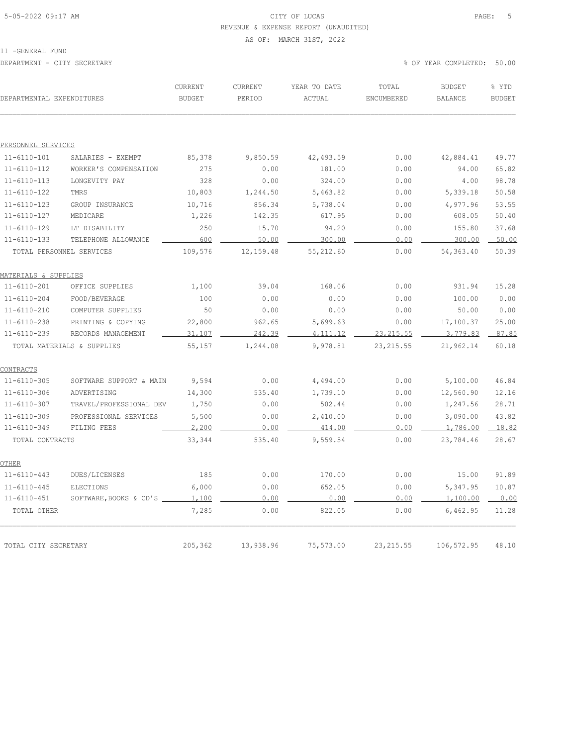### 5-05-2022 09:17 AM CITY OF LUCAS PAGE: 5 REVENUE & EXPENSE REPORT (UNAUDITED)

#### AS OF: MARCH 31ST, 2022

11 -GENERAL FUND

| DEPARTMENTAL EXPENDITURES |                            | CURRENT<br><b>BUDGET</b> | CURRENT<br>PERIOD | YEAR TO DATE<br>ACTUAL | TOTAL<br>ENCUMBERED | <b>BUDGET</b><br><b>BALANCE</b> | % YTD<br><b>BUDGET</b> |
|---------------------------|----------------------------|--------------------------|-------------------|------------------------|---------------------|---------------------------------|------------------------|
|                           |                            |                          |                   |                        |                     |                                 |                        |
| PERSONNEL SERVICES        |                            |                          |                   |                        |                     |                                 |                        |
| $11 - 6110 - 101$         | SALARIES - EXEMPT          | 85,378                   | 9,850.59          | 42, 493.59             | 0.00                | 42,884.41                       | 49.77                  |
| $11 - 6110 - 112$         | WORKER'S COMPENSATION      | 275                      | 0.00              | 181.00                 | 0.00                | 94.00                           | 65.82                  |
| $11 - 6110 - 113$         | LONGEVITY PAY              | 328                      | 0.00              | 324.00                 | 0.00                | 4.00                            | 98.78                  |
| $11 - 6110 - 122$         | TMRS                       | 10,803                   | 1,244.50          | 5,463.82               | 0.00                | 5,339.18                        | 50.58                  |
| $11 - 6110 - 123$         | GROUP INSURANCE            | 10,716                   | 856.34            | 5,738.04               | 0.00                | 4,977.96                        | 53.55                  |
| $11 - 6110 - 127$         | MEDICARE                   | 1,226                    | 142.35            | 617.95                 | 0.00                | 608.05                          | 50.40                  |
| $11 - 6110 - 129$         | LT DISABILITY              | 250                      | 15.70             | 94.20                  | 0.00                | 155.80                          | 37.68                  |
| $11 - 6110 - 133$         | TELEPHONE ALLOWANCE        | 600                      | 50.00             | 300.00                 | 0.00                | 300.00                          | 50.00                  |
|                           | TOTAL PERSONNEL SERVICES   | 109,576                  | 12, 159.48        | 55,212.60              | 0.00                | 54,363.40                       | 50.39                  |
| MATERIALS & SUPPLIES      |                            |                          |                   |                        |                     |                                 |                        |
| $11 - 6110 - 201$         | OFFICE SUPPLIES            | 1,100                    | 39.04             | 168.06                 | 0.00                | 931.94                          | 15.28                  |
| $11 - 6110 - 204$         | FOOD/BEVERAGE              | 100                      | 0.00              | 0.00                   | 0.00                | 100.00                          | 0.00                   |
| $11 - 6110 - 210$         | COMPUTER SUPPLIES          | 50                       | 0.00              | 0.00                   | 0.00                | 50.00                           | 0.00                   |
| $11 - 6110 - 238$         | PRINTING & COPYING         | 22,800                   | 962.65            | 5,699.63               | 0.00                | 17,100.37                       | 25.00                  |
| $11 - 6110 - 239$         | RECORDS MANAGEMENT         | 31,107                   | 242.39            | 4, 111.12              | 23, 215.55          | 3,779.83                        | 87.85                  |
|                           | TOTAL MATERIALS & SUPPLIES | 55,157                   | 1,244.08          | 9,978.81               | 23, 215.55          | 21,962.14                       | 60.18                  |
| CONTRACTS                 |                            |                          |                   |                        |                     |                                 |                        |
| $11 - 6110 - 305$         | SOFTWARE SUPPORT & MAIN    | 9,594                    | 0.00              | 4,494.00               | 0.00                | 5,100.00                        | 46.84                  |
| $11 - 6110 - 306$         | ADVERTISING                | 14,300                   | 535.40            | 1,739.10               | 0.00                | 12,560.90                       | 12.16                  |
| $11 - 6110 - 307$         | TRAVEL/PROFESSIONAL DEV    | 1,750                    | 0.00              | 502.44                 | 0.00                | 1,247.56                        | 28.71                  |
| $11 - 6110 - 309$         | PROFESSIONAL SERVICES      | 5,500                    | 0.00              | 2,410.00               | 0.00                | 3,090.00                        | 43.82                  |
| $11 - 6110 - 349$         | FILING FEES                | 2,200                    | 0.00              | 414.00                 | 0.00                | 1,786.00                        | 18.82                  |
| TOTAL CONTRACTS           |                            | 33,344                   | 535.40            | 9,559.54               | 0.00                | 23,784.46                       | 28.67                  |
| OTHER                     |                            |                          |                   |                        |                     |                                 |                        |
| $11 - 6110 - 443$         | DUES/LICENSES              | 185                      | 0.00              | 170.00                 | 0.00                | 15.00                           | 91.89                  |
| $11 - 6110 - 445$         | ELECTIONS                  | 6,000                    | 0.00              | 652.05                 | 0.00                | 5,347.95                        | 10.87                  |
| $11 - 6110 - 451$         | SOFTWARE, BOOKS & CD'S     | 1,100                    | 0.00              | 0.00                   | 0.00                | 1,100.00                        | 0.00                   |
| TOTAL OTHER               |                            | 7,285                    | 0.00              | 822.05                 | 0.00                | 6,462.95                        | 11.28                  |
|                           |                            |                          |                   |                        |                     |                                 |                        |
| TOTAL CITY SECRETARY      |                            | 205,362                  | 13,938.96         | 75,573.00              | 23, 215.55          | 106,572.95                      | 48.10                  |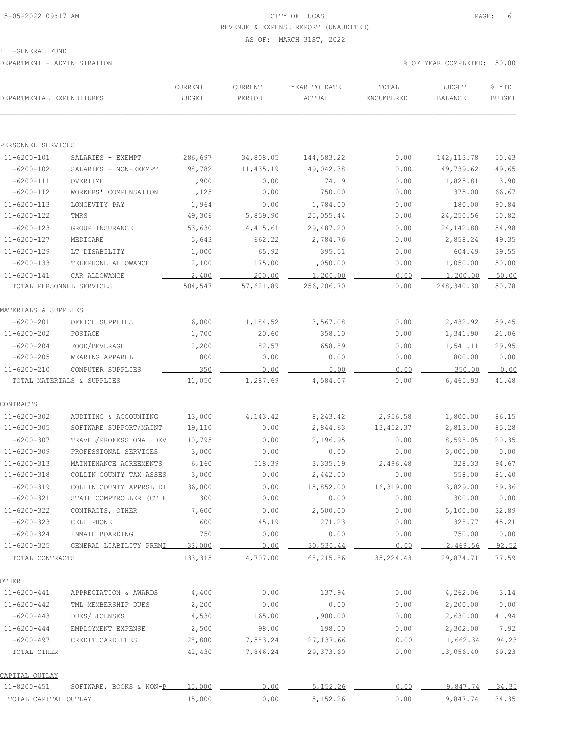# 5-05-2022 09:17 AM CITY OF LUCAS PAGE: 6 REVENUE & EXPENSE REPORT (UNAUDITED)

AS OF: MARCH 31ST, 2022

| DEPARTMENTAL EXPENDITURES |                                     | CURRENT<br><b>BUDGET</b> | CURRENT<br>PERIOD | YEAR TO DATE<br>ACTUAL | TOTAL<br>ENCUMBERED | <b>BUDGET</b><br><b>BALANCE</b> | % YTD<br><b>BUDGET</b> |
|---------------------------|-------------------------------------|--------------------------|-------------------|------------------------|---------------------|---------------------------------|------------------------|
|                           |                                     |                          |                   |                        |                     |                                 |                        |
| PERSONNEL SERVICES        |                                     |                          |                   |                        |                     |                                 |                        |
| $11 - 6200 - 101$         | SALARIES - EXEMPT                   | 286,697                  | 34,808.05         | 144,583.22             | 0.00                | 142, 113.78                     | 50.43                  |
| 11-6200-102               | SALARIES - NON-EXEMPT               | 98,782                   | 11,435.19         | 49,042.38              | 0.00                | 49,739.62                       | 49.65                  |
| $11 - 6200 - 111$         | OVERTIME                            | 1,900                    | 0.00              | 74.19                  | 0.00                | 1,825.81                        | 3.90                   |
| $11 - 6200 - 112$         | WORKERS' COMPENSATION               | 1,125                    | 0.00              | 750.00                 | 0.00                | 375.00                          | 66.67                  |
| $11 - 6200 - 113$         | LONGEVITY PAY                       | 1,964                    | 0.00              | 1,784.00               | 0.00                | 180.00                          | 90.84                  |
| $11 - 6200 - 122$         | TMRS                                | 49,306                   | 5,859.90          | 25,055.44              | 0.00                | 24,250.56                       | 50.82                  |
| $11 - 6200 - 123$         | GROUP INSURANCE                     | 53,630                   | 4, 415.61         | 29,487.20              | 0.00                | 24,142.80                       | 54.98                  |
| 11-6200-127               | MEDICARE                            | 5,643                    | 662.22            | 2,784.76               | 0.00                | 2,858.24                        | 49.35                  |
| 11-6200-129               | LT DISABILITY                       | 1,000                    | 65.92             | 395.51                 | 0.00                | 604.49                          | 39.55                  |
| $11 - 6200 - 133$         | TELEPHONE ALLOWANCE                 | 2,100                    | 175.00            | 1,050.00               | 0.00                | 1,050.00                        | 50.00                  |
| $11 - 6200 - 141$         | CAR ALLOWANCE                       | 2,400                    | 200.00            | 1,200.00               | 0.00                | 1,200.00                        | 50.00                  |
| TOTAL PERSONNEL SERVICES  |                                     | 504,547                  | 57,621.89         | 256,206.70             | 0.00                | 248,340.30                      | 50.78                  |
| MATERIALS & SUPPLIES      |                                     |                          |                   |                        |                     |                                 |                        |
| $11 - 6200 - 201$         | OFFICE SUPPLIES                     | 6,000                    | 1,184.52          | 3,567.08               | 0.00                | 2,432.92                        | 59.45                  |
| $11 - 6200 - 202$         | POSTAGE                             | 1,700                    | 20.60             | 358.10                 | 0.00                | 1,341.90                        | 21.06                  |
| $11 - 6200 - 204$         | FOOD/BEVERAGE                       | 2,200                    | 82.57             | 658.89                 | 0.00                | 1,541.11                        | 29.95                  |
| $11 - 6200 - 205$         | WEARING APPAREL                     | 800                      | 0.00              | 0.00                   | 0.00                | 800.00                          | 0.00                   |
| $11 - 6200 - 210$         | COMPUTER SUPPLIES                   | 350                      | 0.00              | 0.00                   | 0.00                | 350.00                          | 0.00                   |
|                           | TOTAL MATERIALS & SUPPLIES          | 11,050                   | 1,287.69          | 4,584.07               | 0.00                | 6,465.93                        | 41.48                  |
| <b>CONTRACTS</b>          |                                     |                          |                   |                        |                     |                                 |                        |
| $11 - 6200 - 302$         | AUDITING & ACCOUNTING               | 13,000                   | 4, 143. 42        | 8,243.42               | 2,956.58            | 1,800.00                        | 86.15                  |
| $11 - 6200 - 305$         | SOFTWARE SUPPORT/MAINT              | 19,110                   | 0.00              | 2,844.63               | 13,452.37           | 2,813.00                        | 85.28                  |
| $11 - 6200 - 307$         | TRAVEL/PROFESSIONAL DEV             | 10,795                   | 0.00              | 2,196.95               | 0.00                | 8,598.05                        | 20.35                  |
| $11 - 6200 - 309$         | PROFESSIONAL SERVICES               | 3,000                    | 0.00              | 0.00                   | 0.00                | 3,000.00                        | 0.00                   |
| $11 - 6200 - 313$         | MAINTENANCE AGREEMENTS              | 6,160                    | 518.39            | 3,335.19               | 2,496.48            | 328.33                          | 94.67                  |
| $11 - 6200 - 318$         | COLLIN COUNTY TAX ASSES             | 3,000                    | 0.00              | 2,442.00               | 0.00                | 558.00                          | 81.40                  |
| $11 - 6200 - 319$         | COLLIN COUNTY APPRSL DI             | 36,000                   | 0.00              | 15,852.00              | 16,319.00           | 3,829.00                        | 89.36                  |
| 11-6200-321               | STATE COMPTROLLER (CT F             | 300                      | 0.00              | 0.00                   | 0.00                | 300.00                          | 0.00                   |
| $11 - 6200 - 322$         | CONTRACTS, OTHER                    | 7,600                    | 0.00              | 2,500.00               | 0.00                | 5,100.00                        | 32.89                  |
| $11 - 6200 - 323$         | CELL PHONE                          | 600                      | 45.19             | 271.23                 | 0.00                | 328.77                          | 45.21                  |
| $11 - 6200 - 324$         | INMATE BOARDING                     | 750                      | 0.00              | 0.00                   | 0.00                | 750.00                          | 0.00                   |
| $11 - 6200 - 325$         | GENERAL LIABILITY PREMI             | 33,000                   | 0.00              | 30,530.44              | 0.00                | 2,469.56                        | 92.52                  |
| TOTAL CONTRACTS           |                                     | 133,315                  | 4,707.00          | 68,215.86              | 35, 224.43          | 29,874.71                       | 77.59                  |
| OTHER                     |                                     |                          |                   |                        |                     |                                 |                        |
| $11 - 6200 - 441$         | APPRECIATION & AWARDS               | 4,400                    | 0.00              | 137.94                 | 0.00                | 4,262.06                        | 3.14                   |
| $11 - 6200 - 442$         | TML MEMBERSHIP DUES                 | 2,200                    | 0.00              | 0.00                   | 0.00                | 2,200.00                        | 0.00                   |
| $11 - 6200 - 443$         | DUES/LICENSES                       | 4,530                    | 165.00            | 1,900.00               | 0.00                | 2,630.00                        | 41.94                  |
| $11 - 6200 - 444$         | EMPLOYMENT EXPENSE                  | 2,500                    | 98.00             | 198.00                 | 0.00                | 2,302.00                        | 7.92                   |
| $11 - 6200 - 497$         | CREDIT CARD FEES                    | 28,800                   | 7.583.24          | 27, 137.66             | 0.00                | 1,662.34                        | 94.23                  |
| TOTAL OTHER               |                                     | 42,430                   | 7,846.24          | 29,373.60              | 0.00                | 13,056.40                       | 69.23                  |
| CAPITAL OUTLAY            |                                     |                          |                   |                        |                     |                                 |                        |
| $11 - 8200 - 451$         | SOFTWARE, BOOKS & NON- $P_1$ 15,000 |                          | 0.00              | 5,152.26               | 0.00                | 9,847.74                        | 34.35                  |
| TOTAL CAPITAL OUTLAY      |                                     | 15,000                   | 0.00              | 5,152.26               | 0.00                | 9,847.74                        | 34.35                  |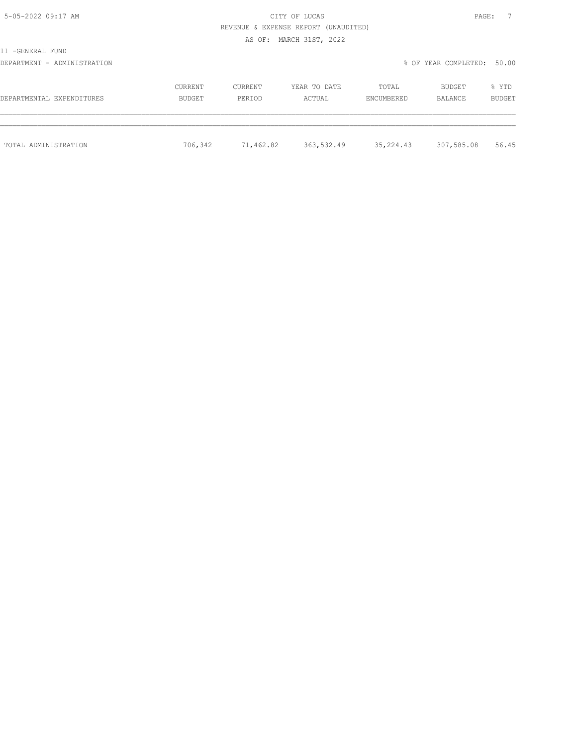| ÞΔ   |  |
|------|--|
| ---- |  |

5-05-2022 09:17 AM CITY OF LUCAS REVENUE & EXPENSE REPORT (UNAUDITED)

AS OF: MARCH 31ST, 2022

11 -GENERAL FUND

DEPARTMENT - ADMINISTRATION % OF YEAR COMPLETED: 50.00

| DEPARTMENTAL EXPENDITURES | CURRENT | CURRENT   | YEAR TO DATE | TOTAL      | BUDGET     | % YTD         |
|---------------------------|---------|-----------|--------------|------------|------------|---------------|
|                           | BUDGET  | PERIOD    | ACTUAL       | ENCUMBERED | BALANCE    | <b>BUDGET</b> |
| TOTAL ADMINISTRATION      | 706,342 | 71,462.82 | 363,532.49   | 35,224.43  | 307,585.08 | 56.45         |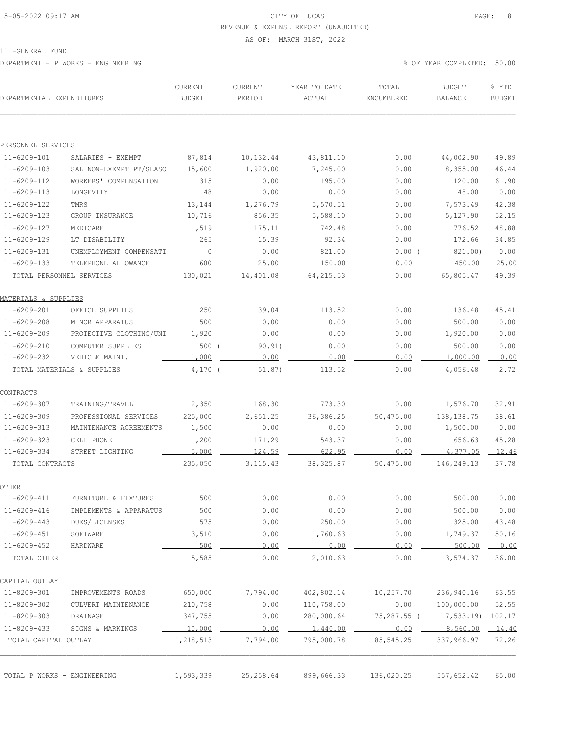### 5-05-2022 09:17 AM CITY OF LUCAS PAGE: 8 REVENUE & EXPENSE REPORT (UNAUDITED)

#### AS OF: MARCH 31ST, 2022

11 -GENERAL FUND

DEPARTMENT - P WORKS - ENGINEERING % OF YEAR COMPLETED: 50.00

| DEPARTMENTAL EXPENDITURES   |                            | CURRENT<br><b>BUDGET</b> | CURRENT<br>PERIOD | YEAR TO DATE<br>ACTUAL | TOTAL<br>ENCUMBERED        | <b>BUDGET</b><br>BALANCE | % YTD<br><b>BUDGET</b> |
|-----------------------------|----------------------------|--------------------------|-------------------|------------------------|----------------------------|--------------------------|------------------------|
|                             |                            |                          |                   |                        |                            |                          |                        |
| PERSONNEL SERVICES          |                            |                          |                   |                        |                            |                          |                        |
| $11 - 6209 - 101$           | SALARIES - EXEMPT          | 87,814                   | 10,132.44         | 43,811.10              | 0.00                       | 44,002.90                | 49.89                  |
| $11 - 6209 - 103$           | SAL NON-EXEMPT PT/SEASO    | 15,600                   | 1,920.00          | 7,245.00               | 0.00                       | 8,355.00                 | 46.44                  |
| $11 - 6209 - 112$           | WORKERS' COMPENSATION      | 315                      | 0.00              | 195.00                 | 0.00                       | 120.00                   | 61.90                  |
| $11 - 6209 - 113$           | LONGEVITY                  | 48                       | 0.00              | 0.00                   | 0.00                       | 48.00                    | 0.00                   |
| $11 - 6209 - 122$           | TMRS                       | 13,144                   | 1,276.79          | 5,570.51               | 0.00                       | 7,573.49                 | 42.38                  |
| $11 - 6209 - 123$           | GROUP INSURANCE            | 10,716                   | 856.35            | 5,588.10               | 0.00                       | 5,127.90                 | 52.15                  |
| $11 - 6209 - 127$           | MEDICARE                   | 1,519                    | 175.11            | 742.48                 | 0.00                       | 776.52                   | 48.88                  |
| 11-6209-129                 | LT DISABILITY              | 265                      | 15.39             | 92.34                  | 0.00                       | 172.66                   | 34.85                  |
| $11 - 6209 - 131$           | UNEMPLOYMENT COMPENSATI    | $\circ$                  | 0.00              | 821.00                 | $0.00$ (                   | 821.00)                  | 0.00                   |
| $11 - 6209 - 133$           | TELEPHONE ALLOWANCE        | 600                      | 25.00             | 150.00                 | 0.00                       | 450.00                   | 25.00                  |
| TOTAL PERSONNEL SERVICES    |                            | 130,021                  | 14,401.08         | 64, 215.53             | 0.00                       | 65,805.47                | 49.39                  |
| MATERIALS & SUPPLIES        |                            |                          |                   |                        |                            |                          |                        |
| $11 - 6209 - 201$           | OFFICE SUPPLIES            | 250                      | 39.04             | 113.52                 | 0.00                       | 136.48                   | 45.41                  |
| $11 - 6209 - 208$           | MINOR APPARATUS            | 500                      | 0.00              | 0.00                   | 0.00                       | 500.00                   | 0.00                   |
| $11 - 6209 - 209$           | PROTECTIVE CLOTHING/UNI    | 1,920                    | 0.00              | 0.00                   | 0.00                       | 1,920.00                 | 0.00                   |
| $11 - 6209 - 210$           | COMPUTER SUPPLIES          | 500(                     | 90.91)            | 0.00                   | 0.00                       | 500.00                   | 0.00                   |
| $11 - 6209 - 232$           | VEHICLE MAINT.             | 1,000                    | 0.00              | 0.00                   | 0.00                       | 1,000.00                 | 0.00                   |
|                             | TOTAL MATERIALS & SUPPLIES | $4,170$ (                | 51.87)            | 113.52                 | 0.00                       | 4,056.48                 | 2.72                   |
| <u>CONTRACTS</u>            |                            |                          |                   |                        |                            |                          |                        |
| $11 - 6209 - 307$           | TRAINING/TRAVEL            | 2,350                    | 168.30            | 773.30                 | 0.00                       | 1,576.70                 | 32.91                  |
| $11 - 6209 - 309$           | PROFESSIONAL SERVICES      | 225,000                  | 2,651.25          | 36, 386.25             | 50,475.00                  | 138, 138.75              | 38.61                  |
| $11 - 6209 - 313$           | MAINTENANCE AGREEMENTS     | 1,500                    | 0.00              | 0.00                   | 0.00                       | 1,500.00                 | 0.00                   |
| $11 - 6209 - 323$           | CELL PHONE                 | 1,200                    | 171.29            | 543.37                 | 0.00                       | 656.63                   | 45.28                  |
| 11-6209-334                 | STREET LIGHTING            | 5,000                    | 124.59            | 622.95                 | 0.00                       | 4,377.05                 | 12.46                  |
| TOTAL CONTRACTS             |                            | 235,050                  | 3, 115.43         | 38, 325.87             | 50,475.00                  | 146,249.13               | 37.78                  |
| OTHER                       |                            |                          |                   |                        |                            |                          |                        |
| $11 - 6209 - 411$           | FURNITURE & FIXTURES       | 500                      | 0.00              | 0.00                   | 0.00                       | 500.00                   | 0.00                   |
| 11-6209-416                 | IMPLEMENTS & APPARATUS     | 500                      | 0.00              | 0.00                   | 0.00                       | 500.00                   | 0.00                   |
| 11-6209-443                 | DUES/LICENSES              | 575                      | 0.00              | 250.00                 | 0.00                       | 325.00                   | 43.48                  |
| 11-6209-451                 | SOFTWARE                   | 3,510                    | 0.00              | 1,760.63               | 0.00                       | 1,749.37                 | 50.16                  |
| $11 - 6209 - 452$           | HARDWARE                   | 500                      | 0.00              | 0.00                   | 0.00                       | $500.00$ 0.00            |                        |
| TOTAL OTHER                 |                            | 5,585                    | 0.00              | 2,010.63               | 0.00                       | 3,574.37                 | 36.00                  |
| CAPITAL OUTLAY              |                            |                          |                   |                        |                            |                          |                        |
| 11-8209-301                 | IMPROVEMENTS ROADS         |                          | 650,000 7,794.00  | 402,802.14             | 10,257.70                  | 236,940.16               | 63.55                  |
| 11-8209-302                 | CULVERT MAINTENANCE        | 210,758                  | 0.00              | 110,758.00             | 0.00                       | 100,000.00               | 52.55                  |
| 11-8209-303                 | DRAINAGE                   | 347,755                  | 0.00              | 280,000.64             |                            | 75,287.55 ( 7,533.19)    | 102.17                 |
| 11-8209-433                 | SIGNS & MARKINGS           | 10,000                   | 0.00              |                        | $1,440.00$ $0.00$ 8,560.00 |                          | 14.40                  |
| TOTAL CAPITAL OUTLAY        |                            | 1,218,513                | 7,794.00          | 795,000.78             | 85,545.25                  | 337,966.97               | 72.26                  |
|                             |                            |                          |                   |                        |                            |                          |                        |
| TOTAL P WORKS - ENGINEERING |                            | 1,593,339                | 25,258.64         | 899,666.33             | 136,020.25                 | 557,652.42               | 65.00                  |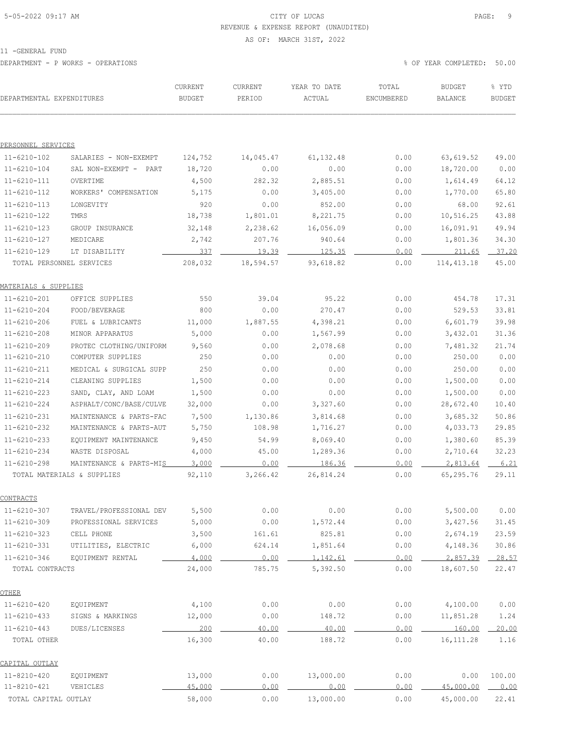### 5-05-2022 09:17 AM CITY OF LUCAS PAGE: 9 REVENUE & EXPENSE REPORT (UNAUDITED)

#### AS OF: MARCH 31ST, 2022

11 -GENERAL FUND

DEPARTMENT - P WORKS - OPERATIONS % OF YEAR COMPLETED: 50.00

| DEPARTMENTAL EXPENDITURES |                            | CURRENT<br><b>BUDGET</b> | CURRENT<br>PERIOD | YEAR TO DATE<br>ACTUAL | TOTAL<br>ENCUMBERED | <b>BUDGET</b><br>BALANCE | % YTD<br><b>BUDGET</b> |
|---------------------------|----------------------------|--------------------------|-------------------|------------------------|---------------------|--------------------------|------------------------|
|                           |                            |                          |                   |                        |                     |                          |                        |
| PERSONNEL SERVICES        |                            |                          |                   |                        |                     |                          |                        |
| $11 - 6210 - 102$         | SALARIES - NON-EXEMPT      | 124,752                  | 14,045.47         | 61, 132.48             | 0.00                | 63,619.52                | 49.00                  |
| $11 - 6210 - 104$         | SAL NON-EXEMPT - PART      | 18,720                   | 0.00              | 0.00                   | 0.00                | 18,720.00                | 0.00                   |
| $11 - 6210 - 111$         | OVERTIME                   | 4,500                    | 282.32            | 2,885.51               | 0.00                | 1,614.49                 | 64.12                  |
| $11 - 6210 - 112$         | WORKERS' COMPENSATION      | 5,175                    | 0.00              | 3,405.00               | 0.00                | 1,770.00                 | 65.80                  |
| $11 - 6210 - 113$         | LONGEVITY                  | 920                      | 0.00              | 852.00                 | 0.00                | 68.00                    | 92.61                  |
| $11 - 6210 - 122$         | TMRS                       | 18,738                   | 1,801.01          | 8,221.75               | 0.00                | 10,516.25                | 43.88                  |
| $11 - 6210 - 123$         | GROUP INSURANCE            | 32,148                   | 2,238.62          | 16,056.09              | 0.00                | 16,091.91                | 49.94                  |
| 11-6210-127               | MEDICARE                   | 2,742                    | 207.76            | 940.64                 | 0.00                | 1,801.36                 | 34.30                  |
| $11 - 6210 - 129$         | LT DISABILITY              | 337                      | 19.39             | 125.35                 | 0.00                | 211.65                   | 37.20                  |
|                           | TOTAL PERSONNEL SERVICES   | 208,032                  | 18,594.57         | 93,618.82              | 0.00                | 114, 413.18              | 45.00                  |
| MATERIALS & SUPPLIES      |                            |                          |                   |                        |                     |                          |                        |
| $11 - 6210 - 201$         | OFFICE SUPPLIES            | 550                      | 39.04             | 95.22                  | 0.00                | 454.78                   | 17.31                  |
| 11-6210-204               | FOOD/BEVERAGE              | 800                      | 0.00              | 270.47                 | 0.00                | 529.53                   | 33.81                  |
| $11 - 6210 - 206$         | FUEL & LUBRICANTS          | 11,000                   | 1,887.55          | 4,398.21               | 0.00                | 6,601.79                 | 39.98                  |
| $11 - 6210 - 208$         | MINOR APPARATUS            | 5,000                    | 0.00              | 1,567.99               | 0.00                | 3,432.01                 | 31.36                  |
| $11 - 6210 - 209$         | PROTEC CLOTHING/UNIFORM    | 9,560                    | 0.00              | 2,078.68               | 0.00                | 7,481.32                 | 21.74                  |
| 11-6210-210               | COMPUTER SUPPLIES          | 250                      | 0.00              | 0.00                   | 0.00                | 250.00                   | 0.00                   |
| $11 - 6210 - 211$         | MEDICAL & SURGICAL SUPP    | 250                      | 0.00              | 0.00                   | 0.00                | 250.00                   | 0.00                   |
| $11 - 6210 - 214$         | CLEANING SUPPLIES          | 1,500                    | 0.00              | 0.00                   | 0.00                | 1,500.00                 | 0.00                   |
| $11 - 6210 - 223$         | SAND, CLAY, AND LOAM       | 1,500                    | 0.00              | 0.00                   | 0.00                | 1,500.00                 | 0.00                   |
| $11 - 6210 - 224$         | ASPHALT/CONC/BASE/CULVE    | 32,000                   | 0.00              | 3,327.60               | 0.00                | 28,672.40                | 10.40                  |
| $11 - 6210 - 231$         | MAINTENANCE & PARTS-FAC    | 7,500                    | 1,130.86          | 3,814.68               | 0.00                | 3,685.32                 | 50.86                  |
| $11 - 6210 - 232$         | MAINTENANCE & PARTS-AUT    | 5,750                    | 108.98            | 1,716.27               | 0.00                | 4,033.73                 | 29.85                  |
| $11 - 6210 - 233$         | EQUIPMENT MAINTENANCE      | 9,450                    | 54.99             | 8,069.40               | 0.00                | 1,380.60                 | 85.39                  |
| $11 - 6210 - 234$         | WASTE DISPOSAL             | 4,000                    | 45.00             | 1,289.36               | 0.00                | 2,710.64                 | 32.23                  |
| $11 - 6210 - 298$         | MAINTENANCE & PARTS-MIS    | 3,000                    | 0.00              | 186.36                 | 0.00                | 2,813.64                 | 6.21                   |
|                           | TOTAL MATERIALS & SUPPLIES | 92,110                   | 3,266.42          | 26,814.24              | 0.00                | 65,295.76                | 29.11                  |
| CONTRACTS                 |                            |                          |                   |                        |                     |                          |                        |
| $11 - 6210 - 307$         | TRAVEL/PROFESSIONAL DEV    | 5,500                    | 0.00              | 0.00                   | 0.00                | 5,500.00                 | 0.00                   |
| $11 - 6210 - 309$         | PROFESSIONAL SERVICES      | 5,000                    | 0.00              | 1,572.44               | 0.00                | 3,427.56                 | 31.45                  |
| $11 - 6210 - 323$         | CELL PHONE                 | 3,500                    | 161.61            | 825.81                 | 0.00                | 2,674.19                 | 23.59                  |
| $11 - 6210 - 331$         | UTILITIES, ELECTRIC        | 6,000                    | 624.14            | 1,851.64               | 0.00                | 4,148.36                 | 30.86                  |
| $11 - 6210 - 346$         | EQUIPMENT RENTAL           | 4,000                    | 0.00              | 1,142.61               | 0.00                | 2,857.39                 | 28.57                  |
| TOTAL CONTRACTS           |                            | 24,000                   | 785.75            | 5,392.50               | 0.00                | 18,607.50                | 22.47                  |
| <u>OTHER</u>              |                            |                          |                   |                        |                     |                          |                        |
| $11 - 6210 - 420$         | EQUIPMENT                  | 4,100                    | 0.00              | 0.00                   | 0.00                | 4,100.00                 | 0.00                   |
| $11 - 6210 - 433$         | SIGNS & MARKINGS           | 12,000                   | 0.00              | 148.72                 | 0.00                | 11,851.28                | 1.24                   |
| $11 - 6210 - 443$         | DUES/LICENSES              | 200                      | 40.00             | 40.00                  | 0.00                | 160.00                   | 20.00                  |
| TOTAL OTHER               |                            | 16,300                   | 40.00             | 188.72                 | 0.00                | 16, 111.28               | 1.16                   |
| CAPITAL OUTLAY            |                            |                          |                   |                        |                     |                          |                        |
| 11-8210-420               | EQUIPMENT                  | 13,000                   | 0.00              | 13,000.00              | 0.00                | 0.00                     | 100.00                 |
| 11-8210-421               | VEHICLES                   | 45,000                   | 0.00              | 0.00                   | 0.00                | 45,000.00                | 0.00                   |
| TOTAL CAPITAL OUTLAY      |                            | 58,000                   | 0.00              | 13,000.00              | 0.00                | 45,000.00                | 22.41                  |
|                           |                            |                          |                   |                        |                     |                          |                        |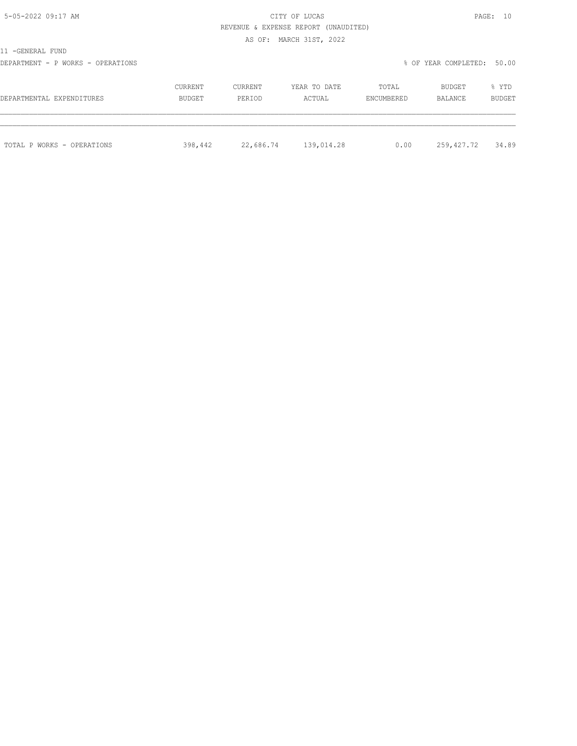| PAGE |  |
|------|--|
|      |  |

# 5-05-2022 09:17 AM CITY OF LUCAS REVENUE & EXPENSE REPORT (UNAUDITED)

AS OF: MARCH 31ST, 2022

| -GENERAL<br>FUND<br>$\sim$ |  |
|----------------------------|--|
|----------------------------|--|

DEPARTMENT - P WORKS - OPERATIONS % OF YEAR COMPLETED: 50.00

| DEPARTMENTAL EXPENDITURES  | CURRENT | CURRENT   | YEAR TO DATE | TOTAL      | BUDGET     | % YTD         |
|----------------------------|---------|-----------|--------------|------------|------------|---------------|
|                            | BUDGET  | PERIOD    | ACTUAL       | ENCUMBERED | BALANCE    | <b>BUDGET</b> |
| TOTAL P WORKS - OPERATIONS | 398,442 | 22,686.74 | 139,014.28   | 0.00       | 259,427.72 | 34.89         |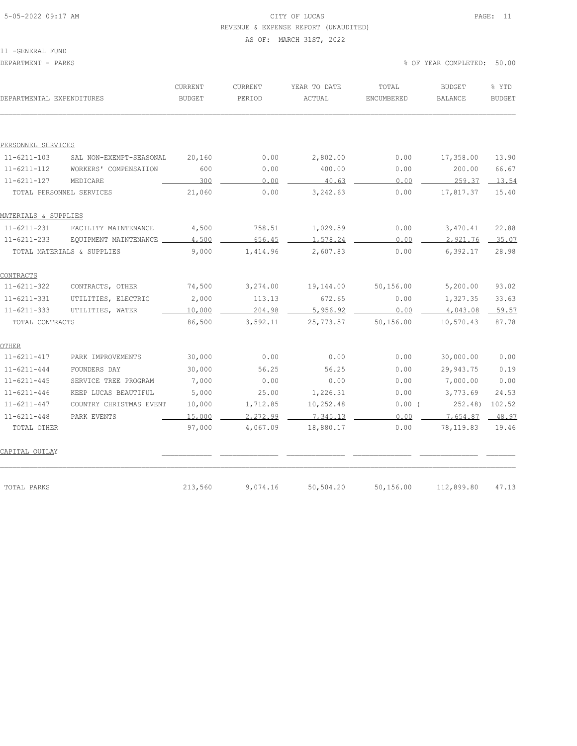### 5-05-2022 09:17 AM CITY OF LUCAS PAGE: 11 REVENUE & EXPENSE REPORT (UNAUDITED)

#### AS OF: MARCH 31ST, 2022

11 -GENERAL FUND

| DEPARTMENTAL EXPENDITURES |                            | CURRENT<br><b>BUDGET</b> | CURRENT<br>PERIOD | YEAR TO DATE<br>ACTUAL | TOTAL<br>ENCUMBERED | <b>BUDGET</b><br><b>BALANCE</b> | % YTD<br><b>BUDGET</b> |
|---------------------------|----------------------------|--------------------------|-------------------|------------------------|---------------------|---------------------------------|------------------------|
|                           |                            |                          |                   |                        |                     |                                 |                        |
| PERSONNEL SERVICES        |                            |                          |                   |                        |                     |                                 |                        |
| $11 - 6211 - 103$         | SAL NON-EXEMPT-SEASONAL    | 20,160                   | 0.00              | 2,802.00               | 0.00                | 17,358.00                       | 13.90                  |
| $11 - 6211 - 112$         | WORKERS' COMPENSATION      | 600                      | 0.00              | 400.00                 | 0.00                | 200.00                          | 66.67                  |
| $11 - 6211 - 127$         | MEDICARE                   | 300                      | 0.00              | 40.63                  | 0.00                | 259.37                          | 13.54                  |
|                           | TOTAL PERSONNEL SERVICES   | 21,060                   | 0.00              | 3,242.63               | 0.00                | 17,817.37                       | 15.40                  |
| MATERIALS & SUPPLIES      |                            |                          |                   |                        |                     |                                 |                        |
| $11 - 6211 - 231$         | FACILITY MAINTENANCE       | 4,500                    | 758.51            | 1,029.59               | 0.00                | 3,470.41                        | 22.88                  |
| $11 - 6211 - 233$         | EQUIPMENT MAINTENANCE      | 4,500                    | 656.45            | 1,578.24               | 0.00                | 2,921.76                        | 35.07                  |
|                           | TOTAL MATERIALS & SUPPLIES | 9,000                    | 1,414.96          | 2,607.83               | 0.00                | 6,392.17                        | 28.98                  |
| CONTRACTS                 |                            |                          |                   |                        |                     |                                 |                        |
| $11 - 6211 - 322$         | CONTRACTS, OTHER           | 74,500                   | 3,274.00          | 19,144.00              | 50,156.00           | 5,200.00                        | 93.02                  |
| $11 - 6211 - 331$         | UTILITIES, ELECTRIC        | 2,000                    | 113.13            | 672.65                 | 0.00                | 1,327.35                        | 33.63                  |
| $11 - 6211 - 333$         | UTILITIES, WATER           | 10,000                   | 204.98            | 5,956.92               | 0.00                | 4,043.08                        | 59.57                  |
| TOTAL CONTRACTS           |                            | 86,500                   | 3,592.11          | 25,773.57              | 50,156.00           | 10,570.43                       | 87.78                  |
| OTHER                     |                            |                          |                   |                        |                     |                                 |                        |
| $11 - 6211 - 417$         | PARK IMPROVEMENTS          | 30,000                   | 0.00              | 0.00                   | 0.00                | 30,000.00                       | 0.00                   |
| $11 - 6211 - 444$         | FOUNDERS DAY               | 30,000                   | 56.25             | 56.25                  | 0.00                | 29,943.75                       | 0.19                   |
| $11 - 6211 - 445$         | SERVICE TREE PROGRAM       | 7,000                    | 0.00              | 0.00                   | 0.00                | 7,000.00                        | 0.00                   |
| $11 - 6211 - 446$         | KEEP LUCAS BEAUTIFUL       | 5,000                    | 25.00             | 1,226.31               | 0.00                | 3,773.69                        | 24.53                  |
| $11 - 6211 - 447$         | COUNTRY CHRISTMAS EVENT    | 10,000                   | 1,712.85          | 10,252.48              | $0.00$ (            | 252.48)                         | 102.52                 |
| $11 - 6211 - 448$         | PARK EVENTS                | 15,000                   | 2,272.99          | 7.345.13               | 0.00                | 7,654.87                        | 48.97                  |
| TOTAL OTHER               |                            | 97,000                   | 4,067.09          | 18,880.17              | 0.00                | 78,119.83                       | 19.46                  |
| CAPITAL OUTLAY            |                            |                          |                   |                        |                     |                                 |                        |
| TOTAL PARKS               |                            | 213,560                  | 9,074.16          | 50,504.20              | 50,156.00           | 112,899.80                      | 47.13                  |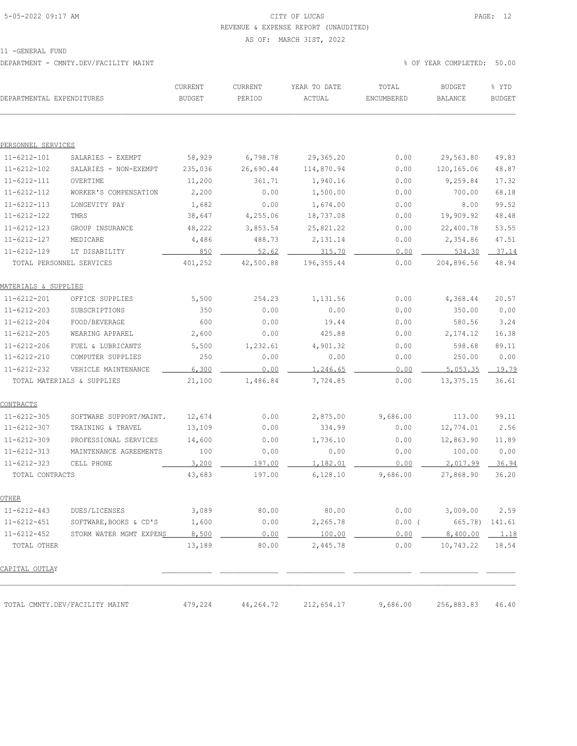### 5-05-2022 09:17 AM CITY OF LUCAS PAGE: 12 REVENUE & EXPENSE REPORT (UNAUDITED)

AS OF: MARCH 31ST, 2022

11 -GENERAL FUND

DEPARTMENT - CMNTY.DEV/FACILITY MAINT % OF YEAR COMPLETED: 50.00

| DEPARTMENTAL EXPENDITURES |                                | CURRENT<br>BUDGET | CURRENT<br>PERIOD | YEAR TO DATE<br>ACTUAL | TOTAL<br>ENCUMBERED | <b>BUDGET</b><br><b>BALANCE</b> | % YTD<br><b>BUDGET</b> |
|---------------------------|--------------------------------|-------------------|-------------------|------------------------|---------------------|---------------------------------|------------------------|
|                           |                                |                   |                   |                        |                     |                                 |                        |
| PERSONNEL SERVICES        |                                |                   |                   |                        |                     |                                 |                        |
| $11 - 6212 - 101$         | SALARIES - EXEMPT              | 58,929            | 6,798.78          | 29,365.20              | 0.00                | 29,563.80                       | 49.83                  |
| $11 - 6212 - 102$         | SALARIES - NON-EXEMPT          | 235,036           | 26,690.44         | 114,870.94             | 0.00                | 120,165.06                      | 48.87                  |
| $11 - 6212 - 111$         | OVERTIME                       | 11,200            | 361.71            | 1,940.16               | 0.00                | 9,259.84                        | 17.32                  |
| $11 - 6212 - 112$         | WORKER'S COMPENSATION          | 2,200             | 0.00              | 1,500.00               | 0.00                | 700.00                          | 68.18                  |
| $11 - 6212 - 113$         | LONGEVITY PAY                  | 1,682             | 0.00              | 1,674.00               | 0.00                | 8.00                            | 99.52                  |
| $11 - 6212 - 122$         | TMRS                           | 38,647            | 4,255.06          | 18,737.08              | 0.00                | 19,909.92                       | 48.48                  |
| $11 - 6212 - 123$         | GROUP INSURANCE                | 48,222            | 3,853.54          | 25,821.22              | 0.00                | 22,400.78                       | 53.55                  |
| $11 - 6212 - 127$         | MEDICARE                       | 4,486             | 488.73            | 2,131.14               | 0.00                | 2,354.86                        | 47.51                  |
| $11 - 6212 - 129$         | LT DISABILITY                  | 850               | 52.62             | 315.70                 | 0.00                | 534.30                          | 37.14                  |
|                           | TOTAL PERSONNEL SERVICES       | 401,252           | 42,500.88         | 196, 355.44            | 0.00                | 204,896.56                      | 48.94                  |
| MATERIALS & SUPPLIES      |                                |                   |                   |                        |                     |                                 |                        |
| $11 - 6212 - 201$         | OFFICE SUPPLIES                | 5,500             | 254.23            | 1,131.56               | 0.00                | 4,368.44                        | 20.57                  |
| $11 - 6212 - 203$         | SUBSCRIPTIONS                  | 350               | 0.00              | 0.00                   | 0.00                | 350.00                          | 0.00                   |
| $11 - 6212 - 204$         | FOOD/BEVERAGE                  | 600               | 0.00              | 19.44                  | 0.00                | 580.56                          | 3.24                   |
| $11 - 6212 - 205$         | WEARING APPAREL                | 2,600             | 0.00              | 425.88                 | 0.00                | 2,174.12                        | 16.38                  |
| $11 - 6212 - 206$         | FUEL & LUBRICANTS              | 5,500             | 1,232.61          | 4,901.32               | 0.00                | 598.68                          | 89.11                  |
| $11 - 6212 - 210$         | COMPUTER SUPPLIES              | 250               | 0.00              | 0.00                   | 0.00                | 250.00                          | 0.00                   |
| $11 - 6212 - 232$         | VEHICLE MAINTENANCE            | 6,300             | 0.00              | 1,246.65               | 0.00                | 5,053.35                        | 19.79                  |
|                           | TOTAL MATERIALS & SUPPLIES     | 21,100            | 1,486.84          | 7,724.85               | 0.00                | 13,375.15                       | 36.61                  |
| CONTRACTS                 |                                |                   |                   |                        |                     |                                 |                        |
| $11 - 6212 - 305$         | SOFTWARE SUPPORT/MAINT.        | 12,674            | 0.00              | 2,875.00               | 9,686.00            | 113.00                          | 99.11                  |
| $11 - 6212 - 307$         | TRAINING & TRAVEL              | 13,109            | 0.00              | 334.99                 | 0.00                | 12,774.01                       | 2.56                   |
| $11 - 6212 - 309$         | PROFESSIONAL SERVICES          | 14,600            | 0.00              | 1,736.10               | 0.00                | 12,863.90                       | 11.89                  |
| $11 - 6212 - 313$         | MAINTENANCE AGREEMENTS         | 100               | 0.00              | 0.00                   | 0.00                | 100.00                          | 0.00                   |
| $11 - 6212 - 323$         | CELL PHONE                     | 3,200             | 197.00            | 1,182.01               | 0.00                | 2,017.99                        | 36.94                  |
| TOTAL CONTRACTS           |                                | 43,683            | 197.00            | 6,128.10               | 9,686.00            | 27,868.90                       | 36.20                  |
| OTHER                     |                                |                   |                   |                        |                     |                                 |                        |
| $11 - 6212 - 443$         | DUES/LICENSES                  | 3,089             | 80.00             | 80.00                  | 0.00                | 3,009.00                        | 2.59                   |
| $11 - 6212 - 451$         | SOFTWARE, BOOKS & CD'S         | 1,600             | 0.00              | 2,265.78               | $0.00$ (            | 665.78)                         | 141.61                 |
| $11 - 6212 - 452$         | STORM WATER MGMT EXPENS        | 8,500             | 0.00              | 100.00                 | 0.00                | 8,400.00                        | 1.18                   |
| TOTAL OTHER               |                                | 13,189            | 80.00             | 2,445.78               | 0.00                | 10,743.22                       | 18.54                  |
| CAPITAL OUTLAY            |                                |                   |                   |                        |                     |                                 |                        |
|                           |                                |                   |                   |                        |                     |                                 |                        |
|                           | TOTAL CMNTY.DEV/FACILITY MAINT | 479,224           | 44,264.72         | 212,654.17             | 9,686.00            | 256,883.83                      | 46.40                  |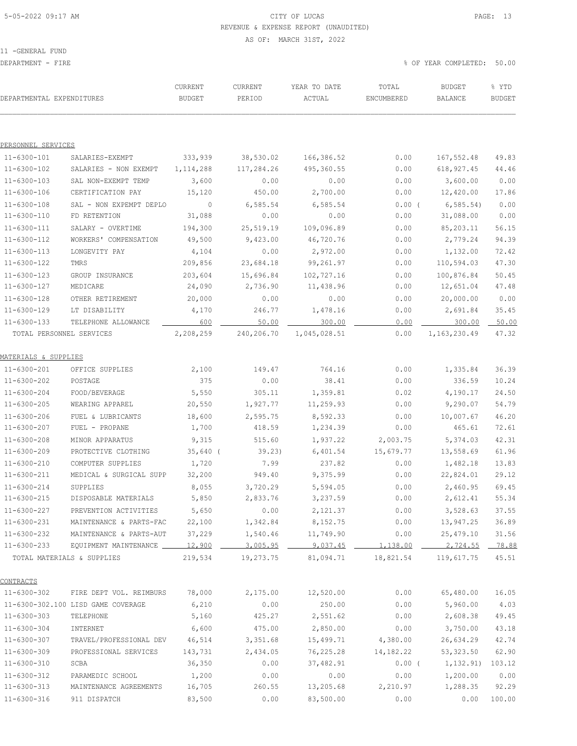# 5-05-2022 09:17 AM CITY OF LUCAS PAGE: 13 REVENUE & EXPENSE REPORT (UNAUDITED)

AS OF: MARCH 31ST, 2022

11 -GENERAL FUND

DEPARTMENT - FIRE % OF YEAR COMPLETED: 50.00

| DEPARTMENTAL EXPENDITURES  |                                    | CURRENT<br><b>BUDGET</b> | CURRENT<br>PERIOD | YEAR TO DATE<br>ACTUAL | TOTAL<br>ENCUMBERED | <b>BUDGET</b><br>BALANCE | % YTD<br><b>BUDGET</b> |
|----------------------------|------------------------------------|--------------------------|-------------------|------------------------|---------------------|--------------------------|------------------------|
| PERSONNEL SERVICES         |                                    |                          |                   |                        |                     |                          |                        |
| 11-6300-101                | SALARIES-EXEMPT                    | 333,939                  | 38,530.02         | 166,386.52             | 0.00                | 167,552.48               | 49.83                  |
| 11-6300-102                | SALARIES - NON EXEMPT              | 1, 114, 288              | 117,284.26        | 495,360.55             | 0.00                | 618,927.45               | 44.46                  |
| $11 - 6300 - 103$          | SAL NON-EXEMPT TEMP                | 3,600                    | 0.00              | 0.00                   | 0.00                | 3,600.00                 | 0.00                   |
| 11-6300-106                | CERTIFICATION PAY                  | 15,120                   | 450.00            | 2,700.00               | 0.00                | 12,420.00                | 17.86                  |
| $11 - 6300 - 108$          | SAL - NON EXPEMPT DEPLO            | $\overline{0}$           | 6,585.54          | 6,585.54               | $0.00$ (            | 6, 585.54                | 0.00                   |
| 11-6300-110                | FD RETENTION                       | 31,088                   | 0.00              | 0.00                   | 0.00                | 31,088.00                | 0.00                   |
| $11 - 6300 - 111$          | SALARY - OVERTIME                  | 194,300                  | 25,519.19         | 109,096.89             | 0.00                | 85,203.11                | 56.15                  |
| 11-6300-112                | WORKERS' COMPENSATION              | 49,500                   | 9,423.00          | 46,720.76              | 0.00                | 2,779.24                 | 94.39                  |
| $11 - 6300 - 113$          | LONGEVITY PAY                      | 4,104                    | 0.00              | 2,972.00               | 0.00                | 1,132.00                 | 72.42                  |
| 11-6300-122                | TMRS                               | 209,856                  | 23,684.18         | 99,261.97              | 0.00                | 110,594.03               | 47.30                  |
| $11 - 6300 - 123$          | GROUP INSURANCE                    | 203,604                  | 15,696.84         | 102,727.16             | 0.00                | 100,876.84               | 50.45                  |
| 11-6300-127                | MEDICARE                           | 24,090                   | 2,736.90          | 11,438.96              | 0.00                | 12,651.04                | 47.48                  |
| 11-6300-128                | OTHER RETIREMENT                   | 20,000                   | 0.00              | 0.00                   | 0.00                | 20,000.00                | 0.00                   |
| $11 - 6300 - 129$          | LT DISABILITY                      | 4,170                    | 246.77            | 1,478.16               | 0.00                | 2,691.84                 | 35.45                  |
| $11 - 6300 - 133$          | TELEPHONE ALLOWANCE                | 600                      | 50.00             | 300.00                 | 0.00                | 300.00                   | 50.00                  |
| TOTAL PERSONNEL SERVICES   |                                    | 2,208,259                | 240,206.70        | 1,045,028.51           | 0.00                | 1,163,230.49             | 47.32                  |
| MATERIALS & SUPPLIES       |                                    |                          |                   |                        |                     |                          |                        |
| 11-6300-201                | OFFICE SUPPLIES                    | 2,100                    | 149.47            | 764.16                 | 0.00                | 1,335.84                 | 36.39                  |
| 11-6300-202                | POSTAGE                            | 375                      | 0.00              | 38.41                  | 0.00                | 336.59                   | 10.24                  |
| $11 - 6300 - 204$          | FOOD/BEVERAGE                      | 5,550                    | 305.11            | 1,359.81               | 0.02                | 4,190.17                 | 24.50                  |
| $11 - 6300 - 205$          | WEARING APPAREL                    | 20,550                   | 1,927.77          | 11, 259.93             | 0.00                | 9,290.07                 | 54.79                  |
| $11 - 6300 - 206$          | FUEL & LUBRICANTS                  | 18,600                   | 2,595.75          | 8,592.33               | 0.00                | 10,007.67                | 46.20                  |
| 11-6300-207                | FUEL - PROPANE                     | 1,700                    | 418.59            | 1,234.39               | 0.00                | 465.61                   | 72.61                  |
| $11 - 6300 - 208$          | MINOR APPARATUS                    | 9,315                    | 515.60            | 1,937.22               | 2,003.75            | 5,374.03                 | 42.31                  |
| $11 - 6300 - 209$          | PROTECTIVE CLOTHING                | $35,640$ (               | 39.23)            | 6,401.54               | 15,679.77           | 13,558.69                | 61.96                  |
| 11-6300-210                | COMPUTER SUPPLIES                  | 1,720                    | 7.99              | 237.82                 | 0.00                | 1,482.18                 | 13.83                  |
| $11 - 6300 - 211$          | MEDICAL & SURGICAL SUPP            | 32,200                   | 949.40            | 9,375.99               | 0.00                | 22,824.01                | 29.12                  |
| $11 - 6300 - 214$          | SUPPLIES                           | 8,055                    | 3,720.29          | 5,594.05               | 0.00                | 2,460.95                 | 69.45                  |
| $11 - 6300 - 215$          | DISPOSABLE MATERIALS               | 5,850                    | 2,833.76          | 3,237.59               | 0.00                | 2,612.41                 | 55.34                  |
| 11-6300-227                | PREVENTION ACTIVITIES              | 5,650                    | 0.00              | 2,121.37               | 0.00                | 3,528.63                 | 37.55                  |
| $11 - 6300 - 231$          | MAINTENANCE & PARTS-FAC            | 22,100                   | 1,342.84          | 8,152.75               | 0.00                | 13,947.25                | 36.89                  |
| $11 - 6300 - 232$          | MAINTENANCE & PARTS-AUT            | 37,229                   | 1,540.46          | 11,749.90              | 0.00                | 25,479.10                | 31.56                  |
| $11 - 6300 - 233$          | EQUIPMENT MAINTENANCE              | 12,900                   | <u>3,005.95</u>   |                        | 1,138.00            | 2,724.55                 | 78.88                  |
| TOTAL MATERIALS & SUPPLIES |                                    | 219,534                  | 19,273.75         | 81,094.71              | 18,821.54           | 119,617.75               | 45.51                  |
| CONTRACTS                  |                                    |                          |                   |                        |                     |                          |                        |
| 11-6300-302                | FIRE DEPT VOL. REIMBURS            | 78,000                   | 2,175.00          | 12,520.00              | 0.00                | 65,480.00                | 16.05                  |
|                            | 11-6300-302.100 LISD GAME COVERAGE | 6,210                    | 0.00              | 250.00                 | 0.00                | 5,960.00                 | 4.03                   |
| $11 - 6300 - 303$          | TELEPHONE                          | 5,160                    | 425.27            | 2,551.62               | 0.00                | 2,608.38                 | 49.45                  |
| $11 - 6300 - 304$          | INTERNET                           | 6,600                    | 475.00            | 2,850.00               | 0.00                | 3,750.00                 | 43.18                  |
| $11 - 6300 - 307$          | TRAVEL/PROFESSIONAL DEV            | 46,514                   | 3,351.68          | 15,499.71              | 4,380.00            | 26,634.29                | 42.74                  |
| $11 - 6300 - 309$          | PROFESSIONAL SERVICES              | 143,731                  | 2,434.05          | 76,225.28              | 14,182.22           | 53, 323.50               | 62.90                  |
| $11 - 6300 - 310$          | SCBA                               | 36,350                   | 0.00              | 37,482.91              | $0.00$ (            | 1,132.91)                | 103.12                 |
| 11-6300-312                | PARAMEDIC SCHOOL                   | 1,200                    | 0.00              | 0.00                   | 0.00                | 1,200.00                 | 0.00                   |
| $11 - 6300 - 313$          | MAINTENANCE AGREEMENTS             | 16,705                   | 260.55            | 13,205.68              | 2,210.97            | 1,288.35                 | 92.29                  |
| $11 - 6300 - 316$          | 911 DISPATCH                       | 83,500                   | 0.00              | 83,500.00              | 0.00                | 0.00                     | 100.00                 |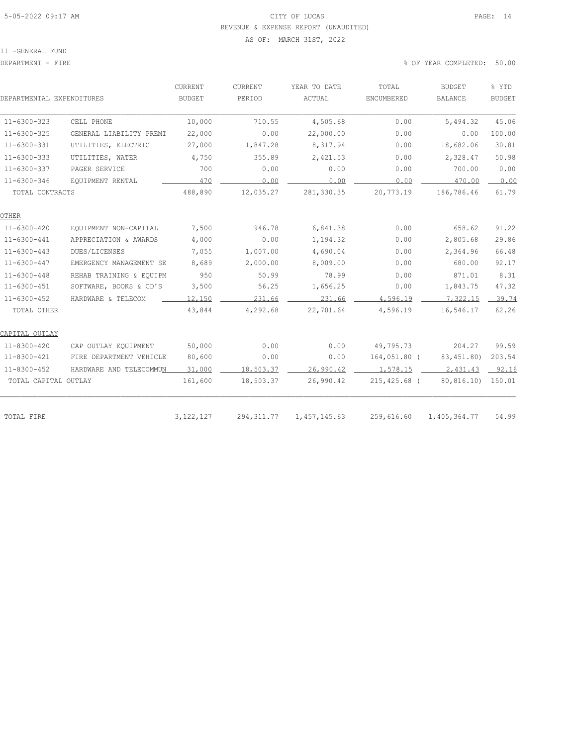### 5-05-2022 09:17 AM CITY OF LUCAS PAGE: 14 REVENUE & EXPENSE REPORT (UNAUDITED)

#### AS OF: MARCH 31ST, 2022

11 -GENERAL FUND

| DEPARTMENTAL EXPENDITURES |                         | <b>CURRENT</b><br>BUDGET | CURRENT<br>PERIOD | YEAR TO DATE<br>ACTUAL | TOTAL<br>ENCUMBERED | <b>BUDGET</b><br>BALANCE | % YTD<br><b>BUDGET</b> |
|---------------------------|-------------------------|--------------------------|-------------------|------------------------|---------------------|--------------------------|------------------------|
| $11 - 6300 - 323$         | CELL PHONE              | 10,000                   | 710.55            | 4,505.68               | 0.00                | 5,494.32                 | 45.06                  |
| $11 - 6300 - 325$         | GENERAL LIABILITY PREMI | 22,000                   | 0.00              | 22,000.00              | 0.00                | 0.00                     | 100.00                 |
| $11 - 6300 - 331$         | UTILITIES, ELECTRIC     | 27,000                   | 1,847.28          | 8,317.94               | 0.00                | 18,682.06                | 30.81                  |
| $11 - 6300 - 333$         | UTILITIES, WATER        | 4,750                    | 355.89            | 2,421.53               | 0.00                | 2,328.47                 | 50.98                  |
| $11 - 6300 - 337$         | PAGER SERVICE           | 700                      | 0.00              | 0.00                   | 0.00                | 700.00                   | 0.00                   |
| $11 - 6300 - 346$         | EOUIPMENT RENTAL        | 470                      | 0.00              | 0.00                   | 0.00                | 470.00                   | 0.00                   |
| TOTAL CONTRACTS           |                         | 488,890                  | 12,035.27         | 281,330.35             | 20,773.19           | 186,786.46               | 61.79                  |
| OTHER                     |                         |                          |                   |                        |                     |                          |                        |
| $11 - 6300 - 420$         | EQUIPMENT NON-CAPITAL   | 7,500                    | 946.78            | 6,841.38               | 0.00                | 658.62                   | 91.22                  |
| $11 - 6300 - 441$         | APPRECIATION & AWARDS   | 4,000                    | 0.00              | 1,194.32               | 0.00                | 2,805.68                 | 29.86                  |
| $11 - 6300 - 443$         | DUES/LICENSES           | 7,055                    | 1,007.00          | 4,690.04               | 0.00                | 2,364.96                 | 66.48                  |
| $11 - 6300 - 447$         | EMERGENCY MANAGEMENT SE | 8,689                    | 2,000.00          | 8,009.00               | 0.00                | 680.00                   | 92.17                  |
| $11 - 6300 - 448$         | REHAB TRAINING & EQUIPM | 950                      | 50.99             | 78.99                  | 0.00                | 871.01                   | 8.31                   |
| $11 - 6300 - 451$         | SOFTWARE, BOOKS & CD'S  | 3,500                    | 56.25             | 1,656.25               | 0.00                | 1,843.75                 | 47.32                  |
| $11 - 6300 - 452$         | HARDWARE & TELECOM      | 12,150                   | 231.66            | 231.66                 | 4,596.19            | 7,322.15                 | 39.74                  |
| TOTAL OTHER               |                         | 43,844                   | 4,292.68          | 22,701.64              | 4,596.19            | 16,546.17                | 62.26                  |
| CAPITAL OUTLAY            |                         |                          |                   |                        |                     |                          |                        |
| 11-8300-420               | CAP OUTLAY EQUIPMENT    | 50,000                   | 0.00              | 0.00                   | 49,795.73           | 204.27                   | 99.59                  |
| 11-8300-421               | FIRE DEPARTMENT VEHICLE | 80,600                   | 0.00              | 0.00                   | 164,051.80 (        | 83,451.80)               | 203.54                 |
| $11 - 8300 - 452$         | HARDWARE AND TELECOMMUN | 31,000                   | 18,503.37         | 26,990.42              | 1,578.15            | 2,431.43                 | $-92.16$               |
| TOTAL CAPITAL OUTLAY      |                         | 161,600                  | 18,503.37         | 26,990.42              | $215,425.68$ (      | 80,816.10) 150.01        |                        |
|                           |                         |                          |                   |                        |                     |                          |                        |
| TOTAL FIRE                |                         | 3,122,127                | 294, 311.77       | 1,457,145.63           | 259,616.60          | 1,405,364.77             | 54.99                  |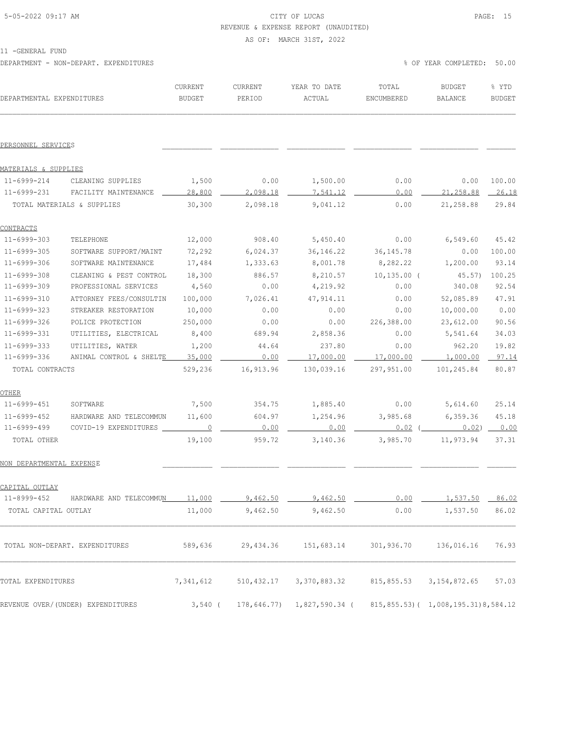### 5-05-2022 09:17 AM CITY OF LUCAS PAGE: 15 REVENUE & EXPENSE REPORT (UNAUDITED)

AS OF: MARCH 31ST, 2022

11 -GENERAL FUND

DEPARTMENT - NON-DEPART. EXPENDITURES % OF YEAR COMPLETED: 50.00

| DEPARTMENTAL EXPENDITURES |                                   | CURRENT<br><b>BUDGET</b> | CURRENT<br>PERIOD | YEAR TO DATE<br>ACTUAL | TOTAL<br>ENCUMBERED | <b>BUDGET</b><br>BALANCE             | % YTD<br><b>BUDGET</b> |
|---------------------------|-----------------------------------|--------------------------|-------------------|------------------------|---------------------|--------------------------------------|------------------------|
| PERSONNEL SERVICES        |                                   |                          |                   |                        |                     |                                      |                        |
| MATERIALS & SUPPLIES      |                                   |                          |                   |                        |                     |                                      |                        |
| 11-6999-214               | CLEANING SUPPLIES                 | 1,500                    | 0.00              | 1,500.00               | 0.00                | 0.00                                 | 100.00                 |
| 11-6999-231               | FACILITY MAINTENANCE              | 28,800                   | 2,098.18          | 7,541.12               | 0.00                | 21,258.88                            | 26.18                  |
|                           | TOTAL MATERIALS & SUPPLIES        | 30,300                   | 2,098.18          | 9,041.12               | 0.00                | 21,258.88                            | 29.84                  |
| <b>CONTRACTS</b>          |                                   |                          |                   |                        |                     |                                      |                        |
| 11-6999-303               | TELEPHONE                         | 12,000                   | 908.40            | 5,450.40               | 0.00                | 6,549.60                             | 45.42                  |
| 11-6999-305               | SOFTWARE SUPPORT/MAINT            | 72,292                   | 6,024.37          | 36, 146.22             | 36, 145. 78         | 0.00                                 | 100.00                 |
| 11-6999-306               | SOFTWARE MAINTENANCE              | 17,484                   | 1,333.63          | 8,001.78               | 8,282.22            | 1,200.00                             | 93.14                  |
| $11 - 6999 - 308$         | CLEANING & PEST CONTROL           | 18,300                   | 886.57            | 8,210.57               | $10, 135.00$ (      | 45.57)                               | 100.25                 |
| 11-6999-309               | PROFESSIONAL SERVICES             | 4,560                    | 0.00              | 4,219.92               | 0.00                | 340.08                               | 92.54                  |
| 11-6999-310               | ATTORNEY FEES/CONSULTIN           | 100,000                  | 7,026.41          | 47, 914.11             | 0.00                | 52,085.89                            | 47.91                  |
| 11-6999-323               | STREAKER RESTORATION              | 10,000                   | 0.00              | 0.00                   | 0.00                | 10,000.00                            | 0.00                   |
| $11 - 6999 - 326$         | POLICE PROTECTION                 | 250,000                  | 0.00              | 0.00                   | 226,388.00          | 23,612.00                            | 90.56                  |
| 11-6999-331               | UTILITIES, ELECTRICAL             | 8,400                    | 689.94            | 2,858.36               | 0.00                | 5,541.64                             | 34.03                  |
| $11 - 6999 - 333$         | UTILITIES, WATER                  | 1,200                    | 44.64             | 237.80                 | 0.00                | 962.20                               | 19.82                  |
| 11-6999-336               | ANIMAL CONTROL & SHELTE           | 35,000                   | 0.00              | 17,000.00              | 17,000.00           | 1,000.00                             | 97.14                  |
| TOTAL CONTRACTS           |                                   | 529,236                  | 16,913.96         | 130,039.16             | 297,951.00          | 101,245.84                           | 80.87                  |
| OTHER                     |                                   |                          |                   |                        |                     |                                      |                        |
| 11-6999-451               | SOFTWARE                          | 7,500                    | 354.75            | 1,885.40               | 0.00                | 5,614.60                             | 25.14                  |
| 11-6999-452               | HARDWARE AND TELECOMMUN           | 11,600                   | 604.97            | 1,254.96               | 3,985.68            | 6,359.36                             | 45.18                  |
| 11-6999-499               | COVID-19 EXPENDITURES             | $\overline{0}$           | 0.00              | 0.00                   | $0.02$ (            | 0.02) 0.00                           |                        |
| TOTAL OTHER               |                                   | 19,100                   | 959.72            | 3,140.36               | 3,985.70            | 11,973.94                            | 37.31                  |
| NON DEPARTMENTAL EXPENSE  |                                   |                          |                   |                        |                     |                                      |                        |
| CAPITAL OUTLAY            |                                   |                          |                   |                        |                     |                                      |                        |
| 11-8999-452               | HARDWARE AND TELECOMMUN           | <u> 11,000</u>           | <u>9,462.50</u>   | <u>9,462.50</u>        | 0.00                | .537.50                              | 86.02                  |
| TOTAL CAPITAL OUTLAY      |                                   | 11,000                   | 9,462.50          | 9,462.50               | 0.00                | 1,537.50                             | 86.02                  |
|                           | TOTAL NON-DEPART. EXPENDITURES    | 589,636                  | 29, 434.36        | 151,683.14             | 301,936.70          | 136,016.16                           | 76.93                  |
| TOTAL EXPENDITURES        |                                   | 7,341,612                | 510, 432.17       | 3,370,883.32           | 815,855.53          | 3, 154, 872.65                       | 57.03                  |
|                           | REVENUE OVER/(UNDER) EXPENDITURES | $3,540$ (                | 178,646.77)       | 1,827,590.34 (         |                     | 815,855.53) ( 1,008,195.31) 8,584.12 |                        |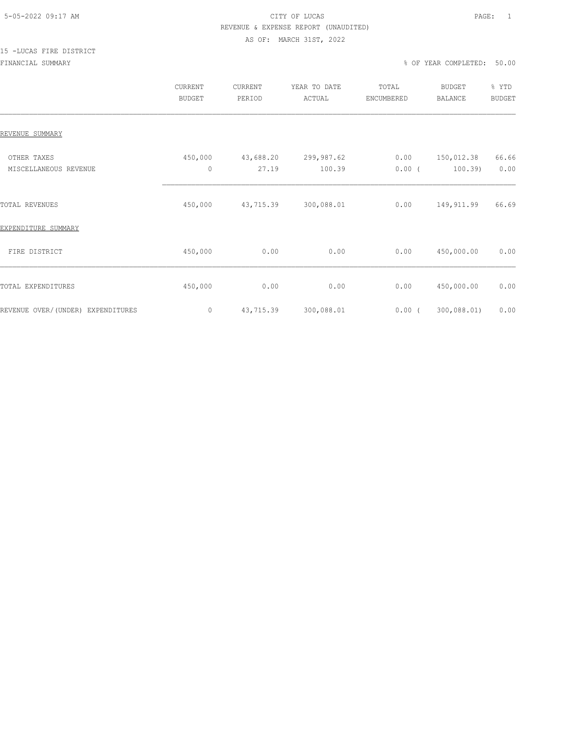### 5-05-2022 09:17 AM CITY OF LUCAS PAGE: 1 REVENUE & EXPENSE REPORT (UNAUDITED) AS OF: MARCH 31ST, 2022

# 15 -LUCAS FIRE DISTRICT

|                                      | CURRENT<br><b>BUDGET</b> | CURRENT<br>PERIOD  | YEAR TO DATE<br>ACTUAL | TOTAL<br>ENCUMBERED | <b>BUDGET</b><br><b>BALANCE</b> | % YTD<br><b>BUDGET</b> |
|--------------------------------------|--------------------------|--------------------|------------------------|---------------------|---------------------------------|------------------------|
| REVENUE SUMMARY                      |                          |                    |                        |                     |                                 |                        |
| OTHER TAXES<br>MISCELLANEOUS REVENUE | 450,000<br>$\mathbf{0}$  | 43,688.20<br>27.19 | 299,987.62<br>100.39   | 0.00<br>$0.00$ (    | 150,012.38<br>$100.39$ )        | 66.66<br>0.00          |
| TOTAL REVENUES                       | 450,000                  | 43,715.39          | 300,088.01             | 0.00                | 149,911.99                      | 66.69                  |
| EXPENDITURE SUMMARY                  |                          |                    |                        |                     |                                 |                        |
| FIRE DISTRICT                        | 450,000                  | 0.00               | 0.00                   | 0.00                | 450,000.00                      | 0.00                   |
| TOTAL EXPENDITURES                   | 450,000                  | 0.00               | 0.00                   | 0.00                | 450,000.00                      | 0.00                   |
| REVENUE OVER/(UNDER) EXPENDITURES    | $\circ$                  | 43,715.39          | 300,088.01             | $0.00$ (            | 300,088.01)                     | 0.00                   |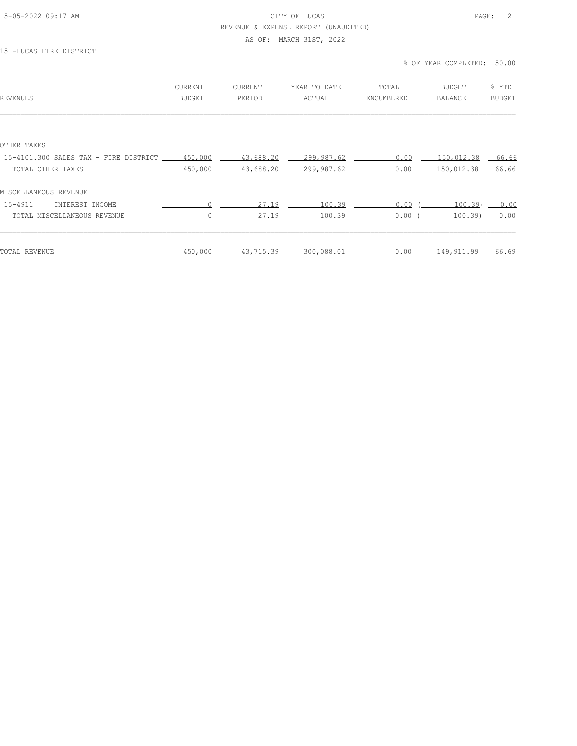#### 5-05-2022 09:17 AM CITY OF LUCAS PAGE: 2 REVENUE & EXPENSE REPORT (UNAUDITED)

#### AS OF: MARCH 31ST, 2022

#### 15 -LUCAS FIRE DISTRICT

#### % OF YEAR COMPLETED: 50.00

| REVENUES                                      | CURRENT<br>BUDGET | CURRENT<br>PERIOD | YEAR TO DATE<br>ACTUAL | TOTAL<br>ENCUMBERED | BUDGET<br>BALANCE | % YTD<br><b>BUDGET</b> |
|-----------------------------------------------|-------------------|-------------------|------------------------|---------------------|-------------------|------------------------|
|                                               |                   |                   |                        |                     |                   |                        |
| OTHER TAXES                                   |                   |                   |                        |                     |                   |                        |
| 15-4101.300 SALES TAX - FIRE DISTRICT 450,000 |                   | 43,688.20         | 299,987.62             | 0.00                | 150,012.38        | $-66.66$               |
| TOTAL OTHER TAXES                             | 450,000           | 43,688.20         | 299,987.62             | 0.00                | 150,012.38        | 66.66                  |
| MISCELLANEOUS REVENUE                         |                   |                   |                        |                     |                   |                        |
| $15 - 4911$<br>INTEREST INCOME                |                   | 27.19             | 100.39                 | 0.00                | 100.39            | 0.00                   |
| TOTAL MISCELLANEOUS REVENUE                   | $\circ$           | 27.19             | 100.39                 | 0.00(               | 100.39            | 0.00                   |
| TOTAL REVENUE                                 | 450,000           | 43,715.39         | 300,088.01             | 0.00                | 149,911.99        | 66.69                  |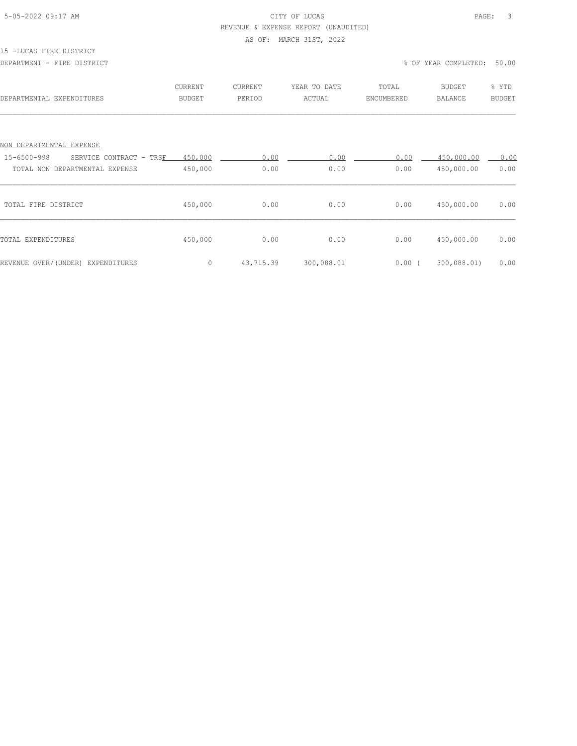### 5-05-2022 09:17 AM CITY OF LUCAS PAGE: 3 REVENUE & EXPENSE REPORT (UNAUDITED)

#### AS OF: MARCH 31ST, 2022

#### 15 -LUCAS FIRE DISTRICT

| DEPARTMENTAL EXPENDITURES                                                | <b>CURRENT</b><br><b>BUDGET</b> | CURRENT<br>PERIOD | YEAR TO DATE<br>ACTUAL | TOTAL<br>ENCUMBERED | <b>BUDGET</b><br><b>BALANCE</b> | % YTD<br><b>BUDGET</b> |
|--------------------------------------------------------------------------|---------------------------------|-------------------|------------------------|---------------------|---------------------------------|------------------------|
| NON DEPARTMENTAL EXPENSE                                                 |                                 |                   |                        |                     |                                 |                        |
| 15-6500-998<br>SERVICE CONTRACT - TRSF<br>TOTAL NON DEPARTMENTAL EXPENSE | 450,000<br>450,000              | 0.00<br>0.00      | 0.00<br>0.00           | 0.00<br>0.00        | 450,000.00<br>450,000.00        | 0.00<br>0.00           |
| TOTAL FIRE DISTRICT                                                      | 450,000                         | 0.00              | 0.00                   | 0.00                | 450,000.00                      | 0.00                   |
| TOTAL EXPENDITURES                                                       | 450,000                         | 0.00              | 0.00                   | 0.00                | 450,000.00                      | 0.00                   |
| REVENUE OVER/(UNDER) EXPENDITURES                                        | 0                               | 43,715.39         | 300,088.01             | $0.00$ (            | 300,088.01)                     | 0.00                   |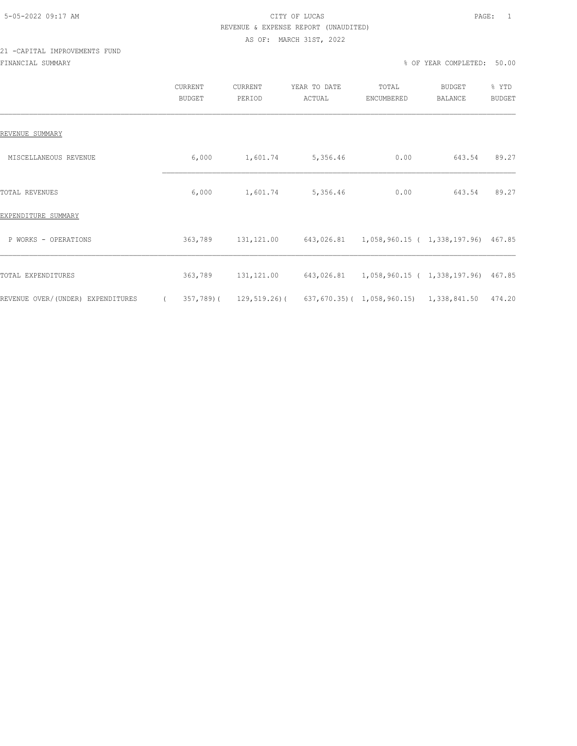### 5-05-2022 09:17 AM CITY OF LUCAS PAGE: 1 REVENUE & EXPENSE REPORT (UNAUDITED) AS OF: MARCH 31ST, 2022

### 21 -CAPITAL IMPROVEMENTS FUND FINANCIAL SUMMARY % OF YEAR COMPLETED: 50.00

|                                   | CURRENT<br><b>BUDGET</b> | CURRENT<br>PERIOD | YEAR TO DATE<br>ACTUAL | TOTAL<br>ENCUMBERED                     | <b>BUDGET</b><br>BALANCE | % YTD<br>BUDGET |
|-----------------------------------|--------------------------|-------------------|------------------------|-----------------------------------------|--------------------------|-----------------|
| REVENUE SUMMARY                   |                          |                   |                        |                                         |                          |                 |
| MISCELLANEOUS REVENUE             | 6,000                    | 1,601.74          | 5,356.46               | 0.00                                    | 643.54                   | 89.27           |
| TOTAL REVENUES                    | 6,000                    | 1,601.74          | 5,356.46               | 0.00                                    | 643.54                   | 89.27           |
| EXPENDITURE SUMMARY               |                          |                   |                        |                                         |                          |                 |
| P WORKS - OPERATIONS              | 363,789                  | 131,121.00        |                        |                                         |                          |                 |
| TOTAL EXPENDITURES                | 363,789                  | 131,121.00        |                        |                                         |                          |                 |
| REVENUE OVER/(UNDER) EXPENDITURES | 357,789)(                | 129,519.26)(      |                        | 637,670.35)( 1,058,960.15) 1,338,841.50 |                          | 474.20          |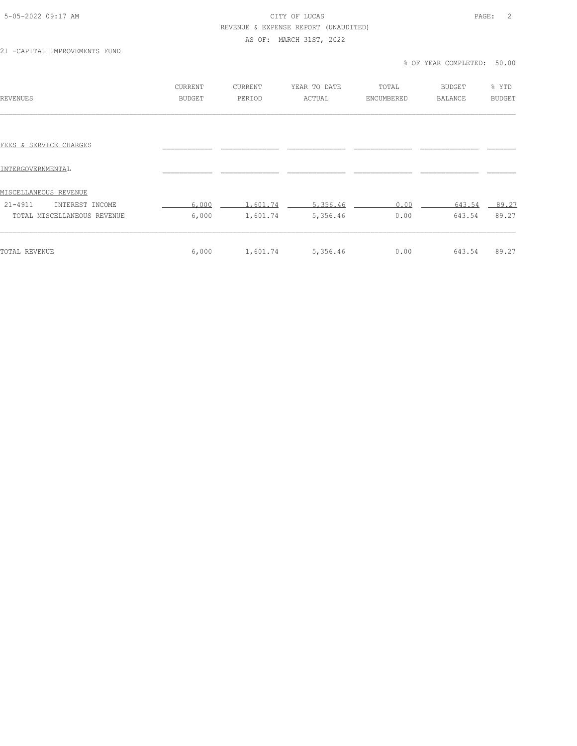#### 5-05-2022 09:17 AM CITY OF LUCAS PAGE: 2 REVENUE & EXPENSE REPORT (UNAUDITED)

AS OF: MARCH 31ST, 2022

21 -CAPITAL IMPROVEMENTS FUND

% OF YEAR COMPLETED: 50.00

| REVENUES                                                | CURRENT<br><b>BUDGET</b> | <b>CURRENT</b><br>PERIOD | YEAR TO DATE<br>ACTUAL | TOTAL<br>ENCUMBERED | <b>BUDGET</b><br><b>BALANCE</b> | % YTD<br><b>BUDGET</b> |
|---------------------------------------------------------|--------------------------|--------------------------|------------------------|---------------------|---------------------------------|------------------------|
| FEES & SERVICE CHARGES                                  |                          |                          |                        |                     |                                 |                        |
| INTERGOVERNMENTAL                                       |                          |                          |                        |                     |                                 |                        |
| MISCELLANEOUS REVENUE<br>$21 - 4911$<br>INTEREST INCOME | 6,000                    | 1,601.74                 | 5,356.46               | 0.00                | 643.54                          | 89.27                  |
| TOTAL MISCELLANEOUS REVENUE                             | 6,000                    | 1,601.74                 | 5,356.46               | 0.00                | 643.54                          | 89.27                  |
| TOTAL REVENUE                                           | 6,000                    | 1,601.74                 | 5,356.46               | 0.00                | 643.54                          | 89.27                  |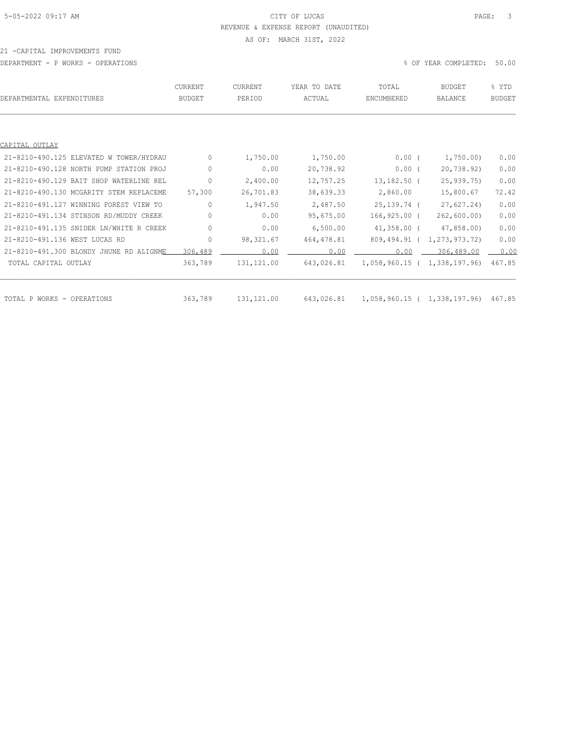### 5-05-2022 09:17 AM CITY OF LUCAS PAGE: 3 REVENUE & EXPENSE REPORT (UNAUDITED) AS OF: MARCH 31ST, 2022

#### 21 -CAPITAL IMPROVEMENTS FUND

DEPARTMENT - P WORKS - OPERATIONS % OF YEAR COMPLETED: 50.00

| DEPARTMENTAL EXPENDITURES               | <b>CURRENT</b><br><b>BUDGET</b>  | CURRENT<br>PERIOD | YEAR TO DATE<br>ACTUAL | TOTAL<br>ENCUMBERED                 | <b>BUDGET</b><br><b>BALANCE</b> | % YTD<br><b>BUDGET</b> |
|-----------------------------------------|----------------------------------|-------------------|------------------------|-------------------------------------|---------------------------------|------------------------|
|                                         |                                  |                   |                        |                                     |                                 |                        |
| CAPITAL OUTLAY                          |                                  |                   |                        |                                     |                                 |                        |
| 21-8210-490.125 ELEVATED W TOWER/HYDRAU | $\mathbf{0}$                     | 1,750.00          | 1,750.00               | 0.00(                               | 1,750.00)                       | 0.00                   |
| 21-8210-490.128 NORTH PUMP STATION PROJ | 0                                | 0.00              | 20,738.92              | $0.00$ (                            | 20,738.92)                      | 0.00                   |
| 21-8210-490.129 BAIT SHOP WATERLINE REL | $\circ$                          | 2,400.00          | 12,757.25              | $13,182.50$ (                       | 25,939.75)                      | 0.00                   |
| 21-8210-490.130 MCGARITY STEM REPLACEME | 57,300                           | 26,701.83         | 38,639.33              | 2,860.00                            | 15,800.67                       | 72.42                  |
| 21-8210-491.127 WINNING FOREST VIEW TO  | $\begin{array}{c} \n\end{array}$ | 1,947.50          | 2,487.50               | 25,139.74 (                         | 27,627.24)                      | 0.00                   |
| 21-8210-491.134 STINSON RD/MUDDY CREEK  | $\circ$                          | 0.00              | 95,675.00              | $166, 925.00$ (                     | 262,600.00)                     | 0.00                   |
| 21-8210-491.135 SNIDER LN/WHITE R CREEK | $\mathbf{0}$                     | 0.00              | 6,500.00               | 41,358.00 (                         | 47,858.00)                      | 0.00                   |
| 21-8210-491.136 WEST LUCAS RD           | $\mathbf{0}$                     | 98, 321.67        | 464, 478.81            | 809,494.91 (                        | 1,273,973.72)                   | 0.00                   |
| 21-8210-491.300 BLONDY JHUNE RD ALIGNME | 306,489                          | 0.00              | 0.00                   | 0.00                                | 306,489.00                      | 0.00                   |
| TOTAL CAPITAL OUTLAY                    | 363,789                          | 131, 121.00       | 643,026.81             | 1,058,960.15 ( 1,338,197.96)        |                                 | 467.85                 |
|                                         |                                  |                   |                        |                                     |                                 |                        |
| TOTAL P WORKS - OPERATIONS              | 363,789                          | 131, 121.00       | 643,026.81             | 1,058,960.15 ( 1,338,197.96) 467.85 |                                 |                        |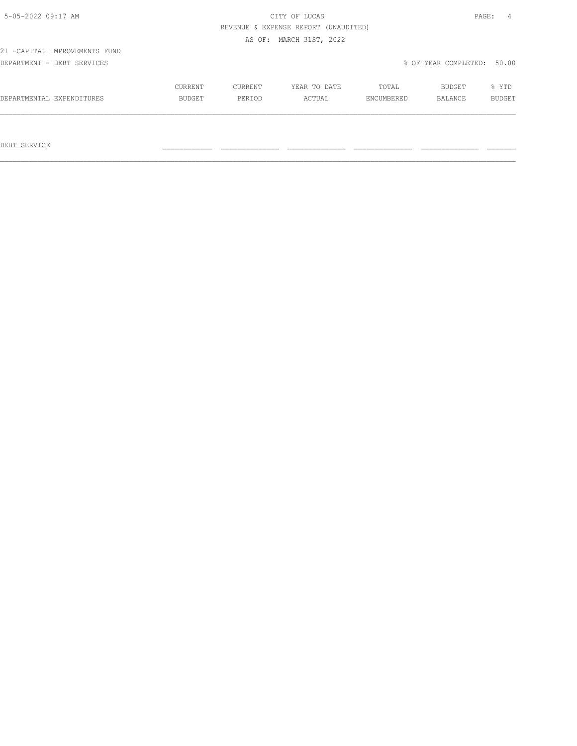# 5-05-2022 09:17 AM CITY OF LUCAS PAGE: 4 REVENUE & EXPENSE REPORT (UNAUDITED)

AS OF: MARCH 31ST, 2022

21 -CAPITAL IMPROVEMENTS FUND

DEPARTMENT - DEBT SERVICES % OF YEAR COMPLETED: 50.00

|                           | CURRENT       | CURRENT       | YEAR TO DATE | TOTAL      | BUDGET  | YTD.          |
|---------------------------|---------------|---------------|--------------|------------|---------|---------------|
| DEPARTMENTAL EXPENDITURES | <b>BUDGET</b> | <b>PERTOD</b> | ACTUAL       | ENCUMBERED | BALANCE | <b>BUDGET</b> |
|                           |               |               |              |            |         |               |

 $\mathcal{L}_\text{max} = \mathcal{L}_\text{max} = \mathcal{L}_\text{max} = \mathcal{L}_\text{max} = \mathcal{L}_\text{max} = \mathcal{L}_\text{max} = \mathcal{L}_\text{max} = \mathcal{L}_\text{max} = \mathcal{L}_\text{max} = \mathcal{L}_\text{max} = \mathcal{L}_\text{max} = \mathcal{L}_\text{max} = \mathcal{L}_\text{max} = \mathcal{L}_\text{max} = \mathcal{L}_\text{max} = \mathcal{L}_\text{max} = \mathcal{L}_\text{max} = \mathcal{L}_\text{max} = \mathcal{$ 

DEBT SERVICE \_\_\_\_\_\_\_\_\_\_\_\_ \_\_\_\_\_\_\_\_\_\_\_\_\_\_ \_\_\_\_\_\_\_\_\_\_\_\_\_\_ \_\_\_\_\_\_\_\_\_\_\_\_\_\_ \_\_\_\_\_\_\_\_\_\_\_\_\_\_ \_\_\_\_\_\_\_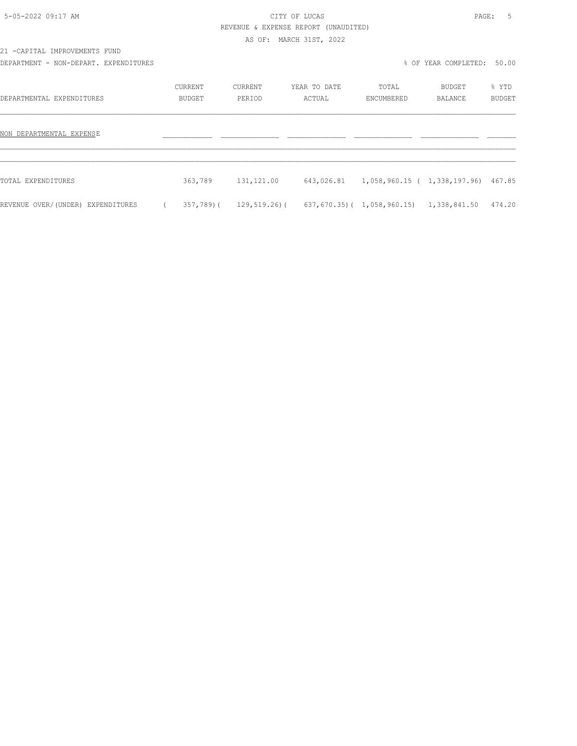### 5-05-2022 09:17 AM CITY OF LUCAS PAGE: 5 REVENUE & EXPENSE REPORT (UNAUDITED)

AS OF: MARCH 31ST, 2022

21 -CAPITAL IMPROVEMENTS FUND

DEPARTMENT - NON-DEPART. EXPENDITURES % OF YEAR COMPLETED: 50.00

| DEPARTMENTAL EXPENDITURES         | CURRENT<br><b>BUDGET</b> | CURRENT<br>PERIOD | YEAR TO DATE<br>ACTUAL | TOTAL<br>ENCUMBERED                               | BUDGET<br><b>BALANCE</b> | % YTD<br><b>BUDGET</b> |
|-----------------------------------|--------------------------|-------------------|------------------------|---------------------------------------------------|--------------------------|------------------------|
| NON DEPARTMENTAL EXPENSE          |                          |                   |                        |                                                   |                          |                        |
| TOTAL EXPENDITURES                | 363,789                  | 131,121.00        |                        | 643,026.81  1,058,960.15  ( 1,338,197.96)  467.85 |                          |                        |
| REVENUE OVER/(UNDER) EXPENDITURES | 357,789)(                | 129,519.26)(      |                        | 637,670.35)( 1,058,960.15)                        | 1,338,841.50             | 474.20                 |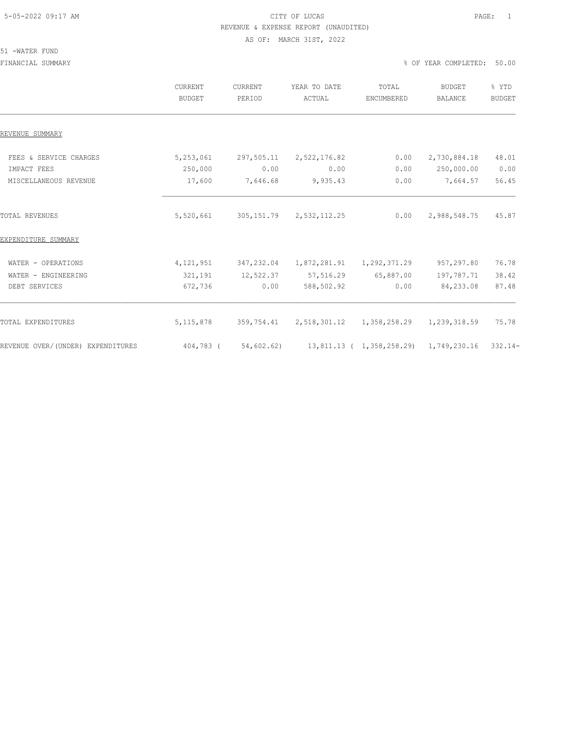# 5-05-2022 09:17 AM CITY OF LUCAS PAGE: 1 REVENUE & EXPENSE REPORT (UNAUDITED)

AS OF: MARCH 31ST, 2022

### 51 -WATER FUND

FINANCIAL SUMMARY % OF YEAR COMPLETED: 50.00

|                                   | <b>CURRENT</b><br><b>BUDGET</b> | <b>CURRENT</b><br>PERIOD | YEAR TO DATE<br>ACTUAL | TOTAL<br>ENCUMBERED       | <b>BUDGET</b><br><b>BALANCE</b> | % YTD<br><b>BUDGET</b> |
|-----------------------------------|---------------------------------|--------------------------|------------------------|---------------------------|---------------------------------|------------------------|
| REVENUE SUMMARY                   |                                 |                          |                        |                           |                                 |                        |
| FEES & SERVICE CHARGES            | 5,253,061                       | 297,505.11               | 2,522,176.82           | 0.00                      | 2,730,884.18                    | 48.01                  |
| IMPACT FEES                       | 250,000                         | 0.00                     | 0.00                   | 0.00                      | 250,000.00                      | 0.00                   |
| MISCELLANEOUS REVENUE             | 17,600                          | 7,646.68                 | 9,935.43               | 0.00                      | 7,664.57                        | 56.45                  |
| <b>TOTAL REVENUES</b>             | 5,520,661                       | 305, 151.79              | 2,532,112.25           | 0.00                      | 2,988,548.75                    | 45.87                  |
| EXPENDITURE SUMMARY               |                                 |                          |                        |                           |                                 |                        |
| WATER - OPERATIONS                | 4, 121, 951                     | 347,232.04               | 1,872,281.91           | 1,292,371.29              | 957,297.80                      | 76.78                  |
| WATER - ENGINEERING               | 321,191                         | 12,522.37                | 57,516.29              | 65,887.00                 | 197,787.71                      | 38.42                  |
| DEBT SERVICES                     | 672,736                         | 0.00                     | 588,502.92             | 0.00                      | 84,233.08                       | 87.48                  |
| TOTAL EXPENDITURES                | 5, 115, 878                     | 359,754.41               | 2,518,301.12           | 1,358,258.29              | 1,239,318.59                    | 75.78                  |
| REVENUE OVER/(UNDER) EXPENDITURES | 404,783 (                       | 54,602.62)               |                        | 13,811.13 ( 1,358,258.29) | 1,749,230.16                    | $332.14-$              |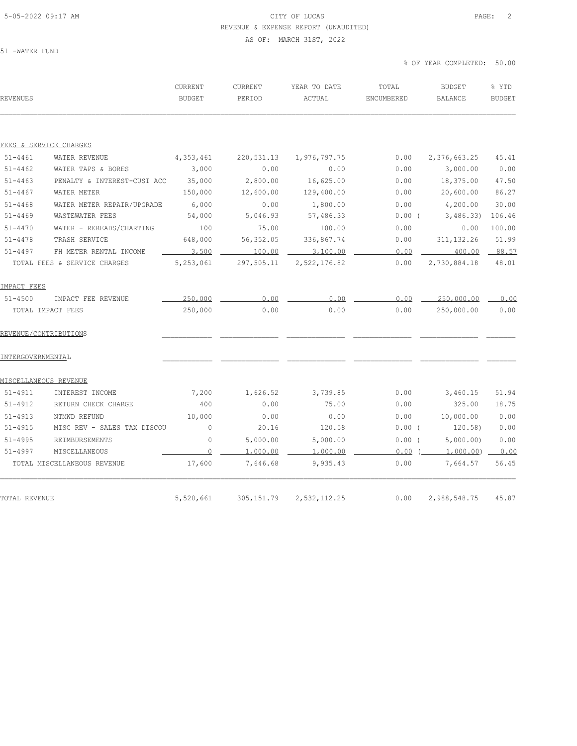### 5-05-2022 09:17 AM CITY OF LUCAS PAGE: 2 REVENUE & EXPENSE REPORT (UNAUDITED) AS OF: MARCH 31ST, 2022

51 -WATER FUND

% OF YEAR COMPLETED: 50.00

| REVENUES          |                              | CURRENT<br><b>BUDGET</b> | CURRENT<br>PERIOD | YEAR TO DATE<br>ACTUAL | TOTAL<br>ENCUMBERED | <b>BUDGET</b><br><b>BALANCE</b> | % YTD<br><b>BUDGET</b> |
|-------------------|------------------------------|--------------------------|-------------------|------------------------|---------------------|---------------------------------|------------------------|
|                   |                              |                          |                   |                        |                     |                                 |                        |
|                   | FEES & SERVICE CHARGES       |                          |                   |                        |                     |                                 |                        |
| $51 - 4461$       | WATER REVENUE                | 4,353,461                | 220,531.13        | 1,976,797.75           | 0.00                | 2,376,663.25                    | 45.41                  |
| $51 - 4462$       | WATER TAPS & BORES           | 3,000                    | 0.00              | 0.00                   | 0.00                | 3,000.00                        | 0.00                   |
| $51 - 4463$       | PENALTY & INTEREST-CUST ACC  | 35,000                   | 2,800.00          | 16,625.00              | 0.00                | 18,375.00                       | 47.50                  |
| $51 - 4467$       | WATER METER                  | 150,000                  | 12,600.00         | 129,400.00             | 0.00                | 20,600.00                       | 86.27                  |
| $51 - 4468$       | WATER METER REPAIR/UPGRADE   | 6,000                    | 0.00              | 1,800.00               | 0.00                | 4,200.00                        | 30.00                  |
| $51 - 4469$       | WASTEWATER FEES              | 54,000                   | 5,046.93          | 57,486.33              | $0.00$ (            | 3,486.33                        | 106.46                 |
| $51 - 4470$       | WATER - REREADS/CHARTING     | 100                      | 75.00             | 100.00                 | 0.00                | 0.00                            | 100.00                 |
| $51 - 4478$       | TRASH SERVICE                | 648,000                  | 56,352.05         | 336,867.74             | 0.00                | 311, 132.26                     | 51.99                  |
| $51 - 4497$       | FH METER RENTAL INCOME       | 3,500                    | 100.00            | 3,100.00               | 0.00                | 400.00                          | 88.57                  |
|                   | TOTAL FEES & SERVICE CHARGES | 5,253,061                | 297,505.11        | 2,522,176.82           | 0.00                | 2,730,884.18                    | 48.01                  |
| IMPACT FEES       |                              |                          |                   |                        |                     |                                 |                        |
| $51 - 4500$       | IMPACT FEE REVENUE           | 250,000                  | 0.00              | 0.00                   | 0.00                | 250,000.00                      | 0.00                   |
|                   | TOTAL IMPACT FEES            | 250,000                  | 0.00              | 0.00                   | 0.00                | 250,000.00                      | 0.00                   |
|                   | REVENUE/CONTRIBUTIONS        |                          |                   |                        |                     |                                 |                        |
| INTERGOVERNMENTAL |                              |                          |                   |                        |                     |                                 |                        |
|                   | MISCELLANEOUS REVENUE        |                          |                   |                        |                     |                                 |                        |
| $51 - 4911$       | INTEREST INCOME              | 7,200                    | 1,626.52          | 3,739.85               | 0.00                | 3,460.15                        | 51.94                  |
| $51 - 4912$       | RETURN CHECK CHARGE          | 400                      | 0.00              | 75.00                  | 0.00                | 325.00                          | 18.75                  |
| $51 - 4913$       | NTMWD REFUND                 | 10,000                   | 0.00              | 0.00                   | 0.00                | 10,000.00                       | 0.00                   |
| $51 - 4915$       | MISC REV - SALES TAX DISCOU  | $\mathbf 0$              | 20.16             | 120.58                 | $0.00$ (            | 120.58)                         | 0.00                   |
| $51 - 4995$       | REIMBURSEMENTS               | $\circ$                  | 5,000.00          | 5,000.00               | $0.00$ (            | 5,000.00)                       | 0.00                   |
| $51 - 4997$       | MISCELLANEOUS                | 0                        | 1,000.00          | 1,000.00               | 0.00                | 1,000.00)                       | 0.00                   |
|                   | TOTAL MISCELLANEOUS REVENUE  | 17,600                   | 7,646.68          | 9,935.43               | 0.00                | 7,664.57                        | 56.45                  |
|                   |                              |                          |                   |                        |                     |                                 |                        |
| TOTAL REVENUE     |                              | 5,520,661                | 305, 151.79       | 2,532,112.25           | 0.00                | 2,988,548.75                    | 45.87                  |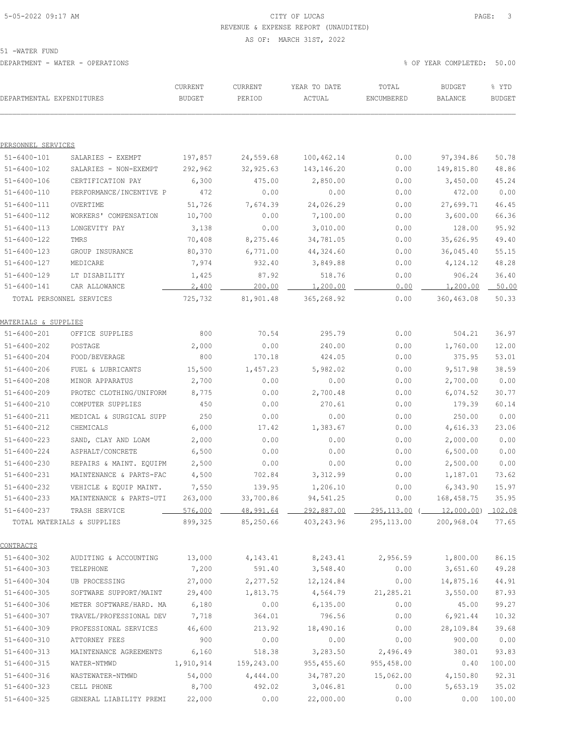# 5-05-2022 09:17 AM CITY OF LUCAS PAGE: 3 REVENUE & EXPENSE REPORT (UNAUDITED)

AS OF: MARCH 31ST, 2022

| DEPARTMENTAL EXPENDITURES       |                            | CURRENT<br><b>BUDGET</b> | CURRENT<br>PERIOD  | YEAR TO DATE<br>ACTUAL | TOTAL<br>ENCUMBERED                      | <b>BUDGET</b><br>BALANCE | % YTD<br><b>BUDGET</b> |
|---------------------------------|----------------------------|--------------------------|--------------------|------------------------|------------------------------------------|--------------------------|------------------------|
|                                 |                            |                          |                    |                        |                                          |                          |                        |
| PERSONNEL SERVICES              |                            |                          |                    |                        |                                          |                          |                        |
| 51-6400-101                     | SALARIES - EXEMPT          | 197,857                  | 24,559.68          | 100, 462.14            | 0.00                                     | 97,394.86                | 50.78                  |
| $51 - 6400 - 102$               | SALARIES - NON-EXEMPT      | 292,962                  | 32, 925.63         | 143,146.20             | 0.00                                     | 149,815.80               | 48.86                  |
| $51 - 6400 - 106$               | CERTIFICATION PAY          | 6,300                    | 475.00             | 2,850.00               | 0.00                                     | 3,450.00                 | 45.24                  |
| $51 - 6400 - 110$               | PERFORMANCE/INCENTIVE P    | 472                      | 0.00               | 0.00                   | 0.00                                     | 472.00                   | 0.00                   |
| $51 - 6400 - 111$               | OVERTIME                   | 51,726                   | 7,674.39           | 24,026.29              | 0.00                                     | 27,699.71                | 46.45                  |
| $51 - 6400 - 112$               | WORKERS' COMPENSATION      | 10,700                   | 0.00               | 7,100.00               | 0.00                                     | 3,600.00                 | 66.36                  |
| $51 - 6400 - 113$               | LONGEVITY PAY              | 3,138                    | 0.00               | 3,010.00               | 0.00                                     | 128.00                   | 95.92                  |
| $51 - 6400 - 122$               | TMRS                       | 70,408                   | 8,275.46           | 34,781.05              | 0.00                                     | 35,626.95                | 49.40                  |
| $51 - 6400 - 123$               | GROUP INSURANCE            | 80,370                   | 6,771.00           | 44,324.60              | 0.00                                     | 36,045.40                | 55.15                  |
| $51 - 6400 - 127$               | MEDICARE                   | 7,974                    | 932.40             | 3,849.88               | 0.00                                     | 4,124.12                 | 48.28                  |
| $51 - 6400 - 129$               | LT DISABILITY              | 1,425                    | 87.92              | 518.76                 | 0.00                                     | 906.24                   | 36.40                  |
| $51 - 6400 - 141$               | CAR ALLOWANCE              | 2,400                    | 200.00             | 1,200.00               | 0.00                                     | 1,200.00                 | 50.00                  |
|                                 | TOTAL PERSONNEL SERVICES   | 725,732                  | 81,901.48          | 365, 268.92            | 0.00                                     | 360,463.08               | 50.33                  |
| <u>MATERIALS &amp; SUPPLIES</u> |                            |                          |                    |                        |                                          |                          |                        |
| $51 - 6400 - 201$               | OFFICE SUPPLIES            | 800                      | 70.54              | 295.79                 | 0.00                                     | 504.21                   | 36.97                  |
| $51 - 6400 - 202$               | POSTAGE                    | 2,000                    | 0.00               | 240.00                 | 0.00                                     | 1,760.00                 | 12.00                  |
| $51 - 6400 - 204$               | FOOD/BEVERAGE              | 800                      | 170.18             | 424.05                 | 0.00                                     | 375.95                   | 53.01                  |
| $51 - 6400 - 206$               | FUEL & LUBRICANTS          | 15,500                   | 1,457.23           | 5,982.02               | 0.00                                     | 9,517.98                 | 38.59                  |
| $51 - 6400 - 208$               | MINOR APPARATUS            | 2,700                    | 0.00               | 0.00                   | 0.00                                     | 2,700.00                 | 0.00                   |
| $51 - 6400 - 209$               | PROTEC CLOTHING/UNIFORM    | 8,775                    | 0.00               | 2,700.48               | 0.00                                     | 6,074.52                 | 30.77                  |
| $51 - 6400 - 210$               | COMPUTER SUPPLIES          | 450                      | 0.00               | 270.61                 | 0.00                                     | 179.39                   | 60.14                  |
| $51 - 6400 - 211$               | MEDICAL & SURGICAL SUPP    | 250                      | 0.00               | 0.00                   | 0.00                                     | 250.00                   | 0.00                   |
| $51 - 6400 - 212$               | CHEMICALS                  | 6,000                    | 17.42              | 1,383.67               | 0.00                                     | 4,616.33                 | 23.06                  |
| $51 - 6400 - 223$               | SAND, CLAY AND LOAM        | 2,000                    | 0.00               | 0.00                   | 0.00                                     | 2,000.00                 | 0.00                   |
| $51 - 6400 - 224$               | ASPHALT/CONCRETE           | 6,500                    | 0.00               | 0.00                   | 0.00                                     | 6,500.00                 | 0.00                   |
| $51 - 6400 - 230$               | REPAIRS & MAINT. EQUIPM    | 2,500                    | 0.00               | 0.00                   | 0.00                                     | 2,500.00                 | 0.00                   |
| $51 - 6400 - 231$               | MAINTENANCE & PARTS-FAC    | 4,500                    | 702.84             | 3,312.99               | 0.00                                     | 1,187.01                 | 73.62                  |
| $51 - 6400 - 232$               | VEHICLE & EQUIP MAINT.     | 7,550                    | 139.95             | 1,206.10               | 0.00                                     | 6,343.90                 | 15.97                  |
| $51 - 6400 - 233$               | MAINTENANCE & PARTS-UTI    | 263,000                  | 33,700.86          | 94,541.25              | 0.00                                     | 168,458.75               | 35.95                  |
| $51 - 6400 - 237$               | TRASH SERVICE              | 576,000                  | 48,991.64          |                        | 292,887.00 295,113.00 (12,000.00) 102.08 |                          |                        |
|                                 | TOTAL MATERIALS & SUPPLIES | 899,325                  | 85,250.66          | 403, 243.96            | 295,113.00                               | 200,968.04               | 77.65                  |
| <b>CONTRACTS</b>                |                            |                          |                    |                        |                                          |                          |                        |
| $51 - 6400 - 302$               | AUDITING & ACCOUNTING      | 13,000                   | 4, 143. 41         | 8,243.41               | 2,956.59                                 | 1,800.00                 | 86.15                  |
| $51 - 6400 - 303$               | TELEPHONE                  | 7,200                    | 591.40             | 3,548.40               | 0.00                                     | 3,651.60                 | 49.28                  |
| $51 - 6400 - 304$               | UB PROCESSING              | 27,000                   | 2,277.52           | 12, 124.84             | 0.00                                     | 14,875.16                | 44.91                  |
| $51 - 6400 - 305$               | SOFTWARE SUPPORT/MAINT     | 29,400                   | 1,813.75           | 4,564.79               | 21,285.21                                | 3,550.00                 | 87.93                  |
| $51 - 6400 - 306$               | METER SOFTWARE/HARD. MA    | 6,180                    | 0.00               | 6, 135.00              | 0.00                                     | 45.00                    | 99.27                  |
| $51 - 6400 - 307$               | TRAVEL/PROFESSIONAL DEV    | 7,718                    | 364.01             | 796.56                 | 0.00                                     | 6,921.44                 | 10.32                  |
| $51 - 6400 - 309$               | PROFESSIONAL SERVICES      | 46,600                   | 213.92             | 18,490.16              | 0.00                                     | 28,109.84                | 39.68                  |
| $51 - 6400 - 310$               | ATTORNEY FEES              | 900                      | 0.00               | 0.00                   | 0.00                                     | 900.00                   | 0.00                   |
| $51 - 6400 - 313$               | MAINTENANCE AGREEMENTS     | 6,160                    | 518.38             | 3,283.50               | 2,496.49                                 | 380.01                   | 93.83                  |
| $51 - 6400 - 315$               | WATER-NTMWD                | 1,910,914                | 159,243.00         | 955,455.60             | 955,458.00                               | 0.40                     | 100.00                 |
| $51 - 6400 - 316$               | WASTEWATER-NTMWD           | 54,000                   |                    | 34,787.20              |                                          |                          | 92.31                  |
| $51 - 6400 - 323$               | CELL PHONE                 | 8,700                    | 4,444.00<br>492.02 | 3,046.81               | 15,062.00<br>0.00                        | 4,150.80<br>5,653.19     | 35.02                  |
| $51 - 6400 - 325$               | GENERAL LIABILITY PREMI    | 22,000                   | 0.00               | 22,000.00              | 0.00                                     | 0.00                     | 100.00                 |
|                                 |                            |                          |                    |                        |                                          |                          |                        |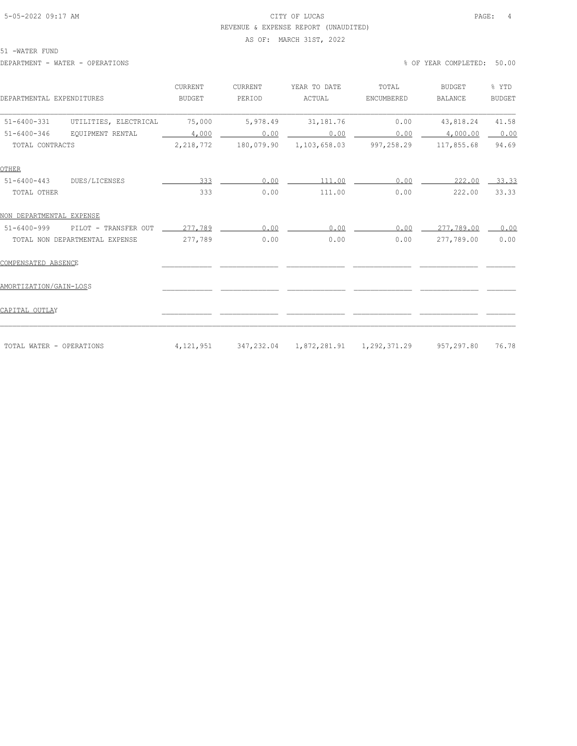### 5-05-2022 09:17 AM CITY OF LUCAS PAGE: 4 REVENUE & EXPENSE REPORT (UNAUDITED)

#### AS OF: MARCH 31ST, 2022

51 -WATER FUND

DEPARTMENT - WATER - OPERATIONS % OF YEAR COMPLETED: 50.00

| DEPARTMENTAL EXPENDITURES |                                | <b>CURRENT</b><br><b>BUDGET</b> | CURRENT<br>PERIOD | YEAR TO DATE<br>ACTUAL | TOTAL<br>ENCUMBERED                                | <b>BUDGET</b><br><b>BALANCE</b> | % YTD<br><b>BUDGET</b> |
|---------------------------|--------------------------------|---------------------------------|-------------------|------------------------|----------------------------------------------------|---------------------------------|------------------------|
| $51 - 6400 - 331$         | UTILITIES, ELECTRICAL          | 75,000                          | 5,978.49          | 31,181.76              | 0.00                                               | 43,818.24                       | 41.58                  |
| $51 - 6400 - 346$         | EOUIPMENT RENTAL               | 4,000                           | 0.00              | 0.00                   | 0.00                                               | 4,000.00                        | 0.00                   |
| TOTAL CONTRACTS           |                                | 2,218,772                       | 180,079.90        | 1,103,658.03           | 997,258.29                                         | 117,855.68                      | 94.69                  |
| OTHER                     |                                |                                 |                   |                        |                                                    |                                 |                        |
| $51 - 6400 - 443$         | DUES/LICENSES                  | 333                             | 0.00              | 111.00                 | 0.00                                               | 222.00                          | 33.33                  |
| TOTAL OTHER               |                                | 333                             | 0.00              | 111.00                 | 0.00                                               | 222.00                          | 33.33                  |
| NON DEPARTMENTAL EXPENSE  |                                |                                 |                   |                        |                                                    |                                 |                        |
| $51 - 6400 - 999$         | PILOT - TRANSFER OUT           | 277,789                         | 0.00              | 0.00                   | 0.00                                               | 277,789.00                      | 0.00                   |
|                           | TOTAL NON DEPARTMENTAL EXPENSE | 277,789                         | 0.00              | 0.00                   | 0.00                                               | 277,789.00                      | 0.00                   |
| COMPENSATED ABSENCE       |                                |                                 |                   |                        |                                                    |                                 |                        |
| AMORTIZATION/GAIN-LOSS    |                                |                                 |                   |                        |                                                    |                                 |                        |
| CAPITAL OUTLAY            |                                |                                 |                   |                        |                                                    |                                 |                        |
| TOTAL WATER - OPERATIONS  |                                | 4,121,951                       |                   |                        | 347,232.04  1,872,281.91  1,292,371.29  957,297.80 |                                 | 76.78                  |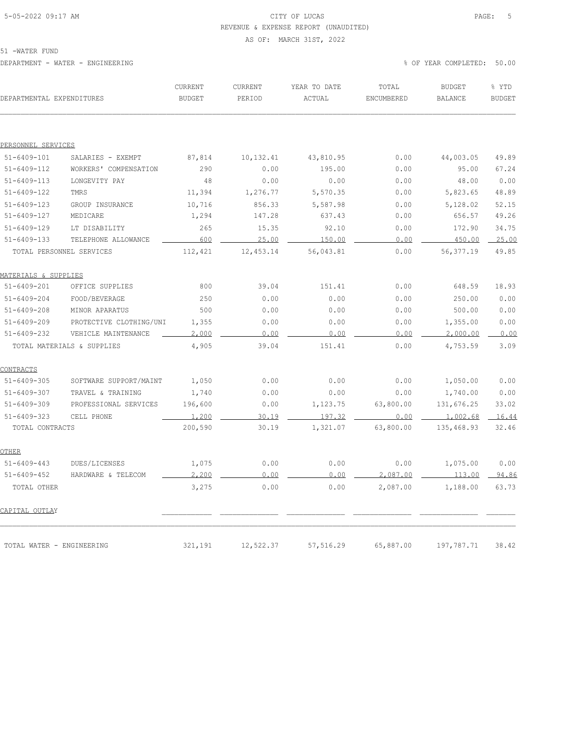### 5-05-2022 09:17 AM CITY OF LUCAS PAGE: 5 REVENUE & EXPENSE REPORT (UNAUDITED)

#### AS OF: MARCH 31ST, 2022

51 -WATER FUND

DEPARTMENT - WATER - ENGINEERING % OF YEAR COMPLETED: 50.00

| DEPARTMENTAL EXPENDITURES       |                            | <b>CURRENT</b><br><b>BUDGET</b> | <b>CURRENT</b><br>PERIOD | YEAR TO DATE<br>ACTUAL | TOTAL<br>ENCUMBERED | <b>BUDGET</b><br><b>BALANCE</b> | % YTD<br><b>BUDGET</b> |
|---------------------------------|----------------------------|---------------------------------|--------------------------|------------------------|---------------------|---------------------------------|------------------------|
|                                 |                            |                                 |                          |                        |                     |                                 |                        |
| PERSONNEL SERVICES              |                            |                                 |                          |                        |                     |                                 |                        |
| $51 - 6409 - 101$               | SALARIES - EXEMPT          | 87,814                          | 10, 132.41               | 43,810.95              | 0.00                | 44,003.05                       | 49.89                  |
| $51 - 6409 - 112$               | WORKERS' COMPENSATION      | 290                             | 0.00                     | 195.00                 | 0.00                | 95.00                           | 67.24                  |
| $51 - 6409 - 113$               | LONGEVITY PAY              | 48                              | 0.00                     | 0.00                   | 0.00                | 48.00                           | 0.00                   |
| $51 - 6409 - 122$               | TMRS                       | 11,394                          | 1,276.77                 | 5,570.35               | 0.00                | 5,823.65                        | 48.89                  |
| $51 - 6409 - 123$               | GROUP INSURANCE            | 10,716                          | 856.33                   | 5,587.98               | 0.00                | 5,128.02                        | 52.15                  |
| $51 - 6409 - 127$               | MEDICARE                   | 1,294                           | 147.28                   | 637.43                 | 0.00                | 656.57                          | 49.26                  |
| $51 - 6409 - 129$               | LT DISABILITY              | 265                             | 15.35                    | 92.10                  | 0.00                | 172.90                          | 34.75                  |
| $51 - 6409 - 133$               | TELEPHONE ALLOWANCE        | 600                             | 25.00                    | 150.00                 | 0.00                | 450.00                          | 25.00                  |
| TOTAL PERSONNEL SERVICES        |                            | 112,421                         | 12, 453.14               | 56,043.81              | 0.00                | 56,377.19                       | 49.85                  |
| <b>MATERIALS &amp; SUPPLIES</b> |                            |                                 |                          |                        |                     |                                 |                        |
| $51 - 6409 - 201$               | OFFICE SUPPLIES            | 800                             | 39.04                    | 151.41                 | 0.00                | 648.59                          | 18.93                  |
| $51 - 6409 - 204$               | FOOD/BEVERAGE              | 250                             | 0.00                     | 0.00                   | 0.00                | 250.00                          | 0.00                   |
| $51 - 6409 - 208$               | MINOR APARATUS             | 500                             | 0.00                     | 0.00                   | 0.00                | 500.00                          | 0.00                   |
| $51 - 6409 - 209$               | PROTECTIVE CLOTHING/UNI    | 1,355                           | 0.00                     | 0.00                   | 0.00                | 1,355.00                        | 0.00                   |
| $51 - 6409 - 232$               | VEHICLE MAINTENANCE        | 2,000                           | 0.00                     | 0.00                   | 0.00                | 2,000.00                        | 0.00                   |
|                                 | TOTAL MATERIALS & SUPPLIES | 4,905                           | 39.04                    | 151.41                 | 0.00                | 4,753.59                        | 3.09                   |
| <b>CONTRACTS</b>                |                            |                                 |                          |                        |                     |                                 |                        |
| $51 - 6409 - 305$               | SOFTWARE SUPPORT/MAINT     | 1,050                           | 0.00                     | 0.00                   | 0.00                | 1,050.00                        | 0.00                   |
| $51 - 6409 - 307$               | TRAVEL & TRAINING          | 1,740                           | 0.00                     | 0.00                   | 0.00                | 1,740.00                        | 0.00                   |
| $51 - 6409 - 309$               | PROFESSIONAL SERVICES      | 196,600                         | 0.00                     | 1,123.75               | 63,800.00           | 131,676.25                      | 33.02                  |
| $51 - 6409 - 323$               | CELL PHONE                 | 1,200                           | 30.19                    | 197.32                 | 0.00                | 1,002.68                        | 16.44                  |
| TOTAL CONTRACTS                 |                            | 200,590                         | 30.19                    | 1,321.07               | 63,800.00           | 135,468.93                      | 32.46                  |
| OTHER                           |                            |                                 |                          |                        |                     |                                 |                        |
| $51 - 6409 - 443$               | DUES/LICENSES              | 1,075                           | 0.00                     | 0.00                   | 0.00                | 1,075.00                        | 0.00                   |
| $51 - 6409 - 452$               | HARDWARE & TELECOM         | 2,200                           | 0.00                     | 0.00                   | 2,087.00            | 113.00                          | 94.86                  |
| TOTAL OTHER                     |                            | 3,275                           | 0.00                     | 0.00                   | 2,087.00            | 1,188.00                        | 63.73                  |
| CAPITAL OUTLAY                  |                            |                                 |                          |                        |                     |                                 |                        |
| TOTAL WATER - ENGINEERING       |                            | 321,191                         | 12,522.37                | 57,516.29              | 65,887.00           | 197,787.71                      | 38.42                  |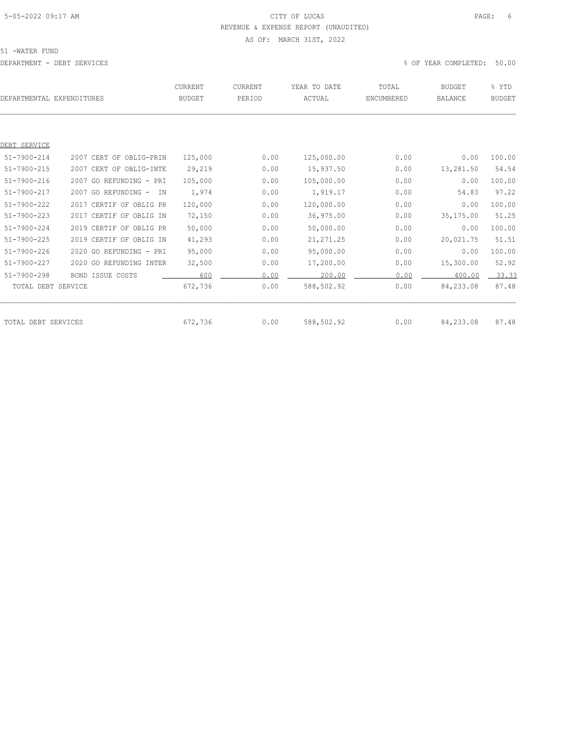# 5-05-2022 09:17 AM CITY OF LUCAS PAGE: 6 REVENUE & EXPENSE REPORT (UNAUDITED)

AS OF: MARCH 31ST, 2022

51 -WATER FUND

| DEPARTMENTAL EXPENDITURES |                            | CURRENT<br><b>BUDGET</b> | CURRENT<br>PERIOD | YEAR TO DATE<br>ACTUAL | TOTAL<br>ENCUMBERED | <b>BUDGET</b><br><b>BALANCE</b> | % YTD<br><b>BUDGET</b> |
|---------------------------|----------------------------|--------------------------|-------------------|------------------------|---------------------|---------------------------------|------------------------|
|                           |                            |                          |                   |                        |                     |                                 |                        |
| DEBT SERVICE              |                            |                          |                   |                        |                     |                                 |                        |
| $51 - 7900 - 214$         | 2007 CERT OF OBLIG-PRIN    | 125,000                  | 0.00              | 125,000.00             | 0.00                | 0.00                            | 100.00                 |
| $51 - 7900 - 215$         | 2007 CERT OF OBLIG-INTE    | 29,219                   | 0.00              | 15,937.50              | 0.00                | 13,281.50                       | 54.54                  |
| $51 - 7900 - 216$         | 2007 GO REFUNDING - PRI    | 105,000                  | 0.00              | 105,000.00             | 0.00                | 0.00                            | 100.00                 |
| 51-7900-217               | 2007 GO REFUNDING -<br>IN. | 1,974                    | 0.00              | 1,919.17               | 0.00                | 54.83                           | 97.22                  |
| $51 - 7900 - 222$         | 2017 CERTIF OF OBLIG PR    | 120,000                  | 0.00              | 120,000.00             | 0.00                | 0.00                            | 100.00                 |
| $51 - 7900 - 223$         | 2017 CERTIF OF OBLIG IN    | 72,150                   | 0.00              | 36,975.00              | 0.00                | 35,175.00                       | 51.25                  |
| $51 - 7900 - 224$         | 2019 CERTIF OF OBLIG PR    | 50,000                   | 0.00              | 50,000.00              | 0.00                | 0.00                            | 100.00                 |
| $51 - 7900 - 225$         | 2019 CERTIF OF OBLIG IN    | 41,293                   | 0.00              | 21, 271.25             | 0.00                | 20,021.75                       | 51.51                  |
| $51 - 7900 - 226$         | 2020 GO REFUNDING - PRI    | 95,000                   | 0.00              | 95,000.00              | 0.00                | 0.00                            | 100.00                 |
| $51 - 7900 - 227$         | 2020 GO REFUNDING INTER    | 32,500                   | 0.00              | 17,200.00              | 0.00                | 15,300.00                       | 52.92                  |
| $51 - 7900 - 298$         | BOND ISSUE COSTS           | 600                      | 0.00              | 200.00                 | 0.00                | 400.00                          | 33.33                  |
| TOTAL DEBT SERVICE        |                            | 672,736                  | 0.00              | 588,502.92             | 0.00                | 84,233.08                       | 87.48                  |
|                           |                            |                          |                   |                        |                     |                                 |                        |
| TOTAL DEBT SERVICES       |                            | 672,736                  | 0.00              | 588,502.92             | 0.00                | 84,233.08                       | 87.48                  |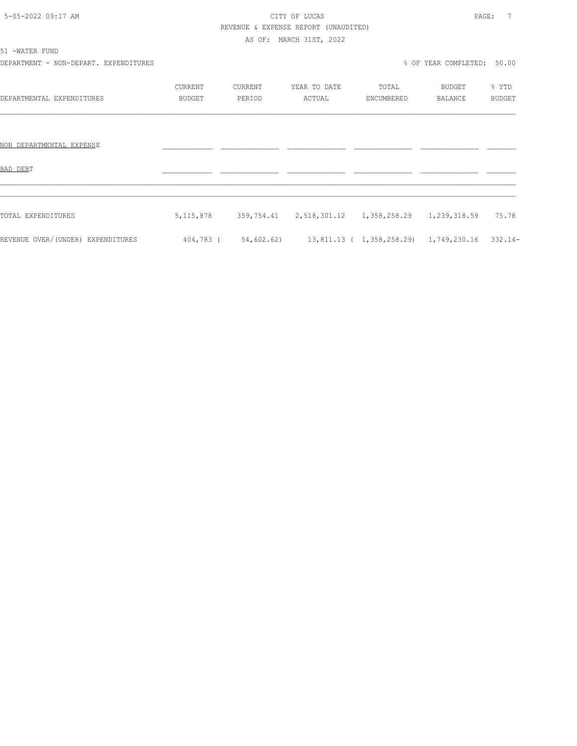# 5-05-2022 09:17 AM CITY OF LUCAS PAGE: 7 REVENUE & EXPENSE REPORT (UNAUDITED)

AS OF: MARCH 31ST, 2022

| 51 -WATER FUND                        |               |         |                                                                   |            |                            |               |  |
|---------------------------------------|---------------|---------|-------------------------------------------------------------------|------------|----------------------------|---------------|--|
| DEPARTMENT - NON-DEPART. EXPENDITURES |               |         |                                                                   |            | % OF YEAR COMPLETED: 50.00 |               |  |
|                                       | CURRENT       | CURRENT | YEAR TO DATE                                                      | TOTAL      | BUDGET                     | % YTD         |  |
| DEPARTMENTAL EXPENDITURES             | <b>BUDGET</b> | PERIOD  | ACTUAL                                                            | ENCUMBERED | BALANCE                    | <b>BUDGET</b> |  |
|                                       |               |         |                                                                   |            |                            |               |  |
| NON DEPARTMENTAL EXPENSE              |               |         |                                                                   |            |                            |               |  |
| BAD DEBT                              |               |         |                                                                   |            |                            |               |  |
|                                       |               |         |                                                                   |            |                            |               |  |
| TOTAL EXPENDITURES                    | 5, 115, 878   |         | 359,754.41 2,518,301.12 1,358,258.29 1,239,318.59                 |            |                            | 75.78         |  |
| REVENUE OVER/(UNDER) EXPENDITURES     |               |         | 404,783 (54,602.62) 13,811.13 (1,358,258.29) 1,749,230.16 332.14- |            |                            |               |  |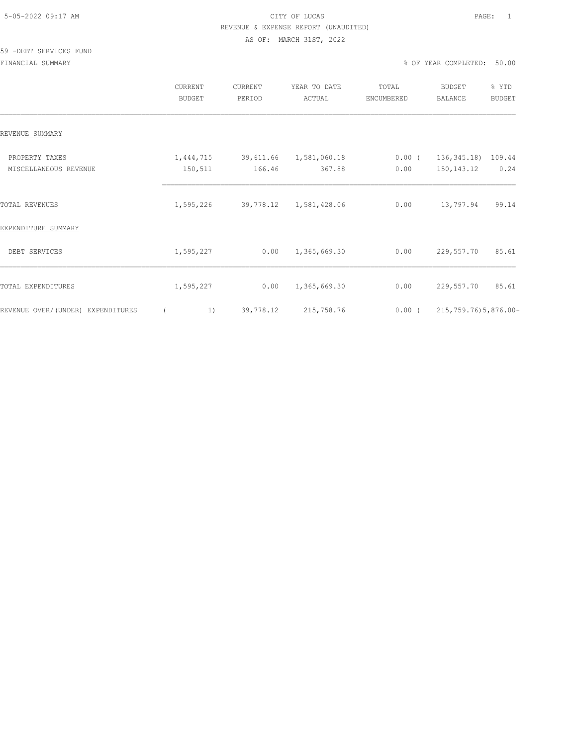### 5-05-2022 09:17 AM CITY OF LUCAS PAGE: 1 REVENUE & EXPENSE REPORT (UNAUDITED) AS OF: MARCH 31ST, 2022

#### 59 -DEBT SERVICES FUND

FINANCIAL SUMMARY % OF YEAR COMPLETED: 50.00

|                                         | CURRENT<br><b>BUDGET</b> | CURRENT<br>PERIOD                | YEAR TO DATE<br>ACTUAL | TOTAL<br>ENCUMBERED | <b>BUDGET</b><br>BALANCE                       | % YTD<br><b>BUDGET</b> |
|-----------------------------------------|--------------------------|----------------------------------|------------------------|---------------------|------------------------------------------------|------------------------|
| REVENUE SUMMARY                         |                          |                                  |                        |                     |                                                |                        |
| PROPERTY TAXES<br>MISCELLANEOUS REVENUE | 1,444,715<br>150,511     | 39,611.66 1,581,060.18<br>166.46 | 367.88                 | 0.00                | $0.00$ ( $136,345.18$ ) 109.44<br>150, 143. 12 | 0.24                   |
| TOTAL REVENUES                          | 1,595,226                |                                  | 39,778.12 1,581,428.06 | 0.00                | 13,797.94                                      | 99.14                  |
| EXPENDITURE SUMMARY                     |                          |                                  |                        |                     |                                                |                        |
| DEBT SERVICES                           | 1,595,227                | 0.00                             | 1,365,669.30           | 0.00                | 229,557.70                                     | 85.61                  |
| TOTAL EXPENDITURES                      | 1,595,227                | 0.00                             | 1,365,669.30           | 0.00                | 229,557.70                                     | 85.61                  |
| REVENUE OVER/(UNDER) EXPENDITURES       | 1)                       | 39,778.12                        | 215,758.76             | $0.00$ (            | 215, 759. 76) 5, 876. 00-                      |                        |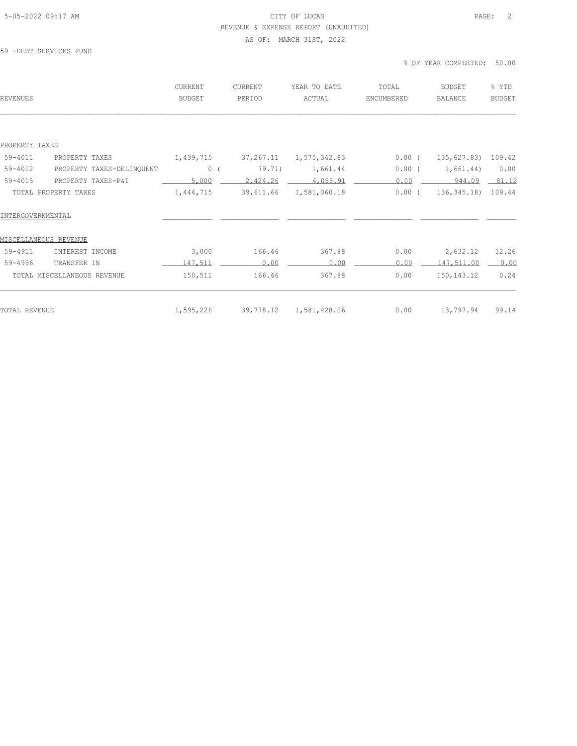## 5-05-2022 09:17 AM CITY OF LUCAS PAGE: 2 REVENUE & EXPENSE REPORT (UNAUDITED)

#### AS OF: MARCH 31ST, 2022

59 -DEBT SERVICES FUND

% OF YEAR COMPLETED: 50.00

|           | PERIOD    | ACTUAL                 | ENCUMBERED | <b>BALANCE</b>     | <b>BUDGET</b> |
|-----------|-----------|------------------------|------------|--------------------|---------------|
|           |           |                        |            |                    |               |
|           |           |                        |            |                    |               |
| 1,439,715 |           | 1,575,342.83           |            | 135,627.83) 109.42 |               |
| 0(        | 79.71)    | 1,661.44               | 0.00(      | 1,661.44)          | 0.00          |
| 5,000     | 2,424.26  | 4,055.91               | 0.00       | 944.09             | 81.12         |
| 1,444,715 | 39,611.66 | 1,581,060.18           | $0.00$ (   | 136, 345.18        | 109.44        |
|           |           |                        |            |                    |               |
|           |           |                        |            |                    |               |
| 3,000     | 166.46    | 367.88                 | 0.00       | 2,632.12           | 12.26         |
| 147,511   | 0.00      | 0.00                   | 0.00       | 147,511.00         | 0.00          |
| 150,511   | 166.46    | 367.88                 | 0.00       | 150, 143. 12       | 0.24          |
| 1,595,226 |           | 1,581,428.06           | 0.00       | 13,797.94          | 99.14         |
|           |           | 37,267.11<br>39,778.12 |            |                    | $0.00$ (      |